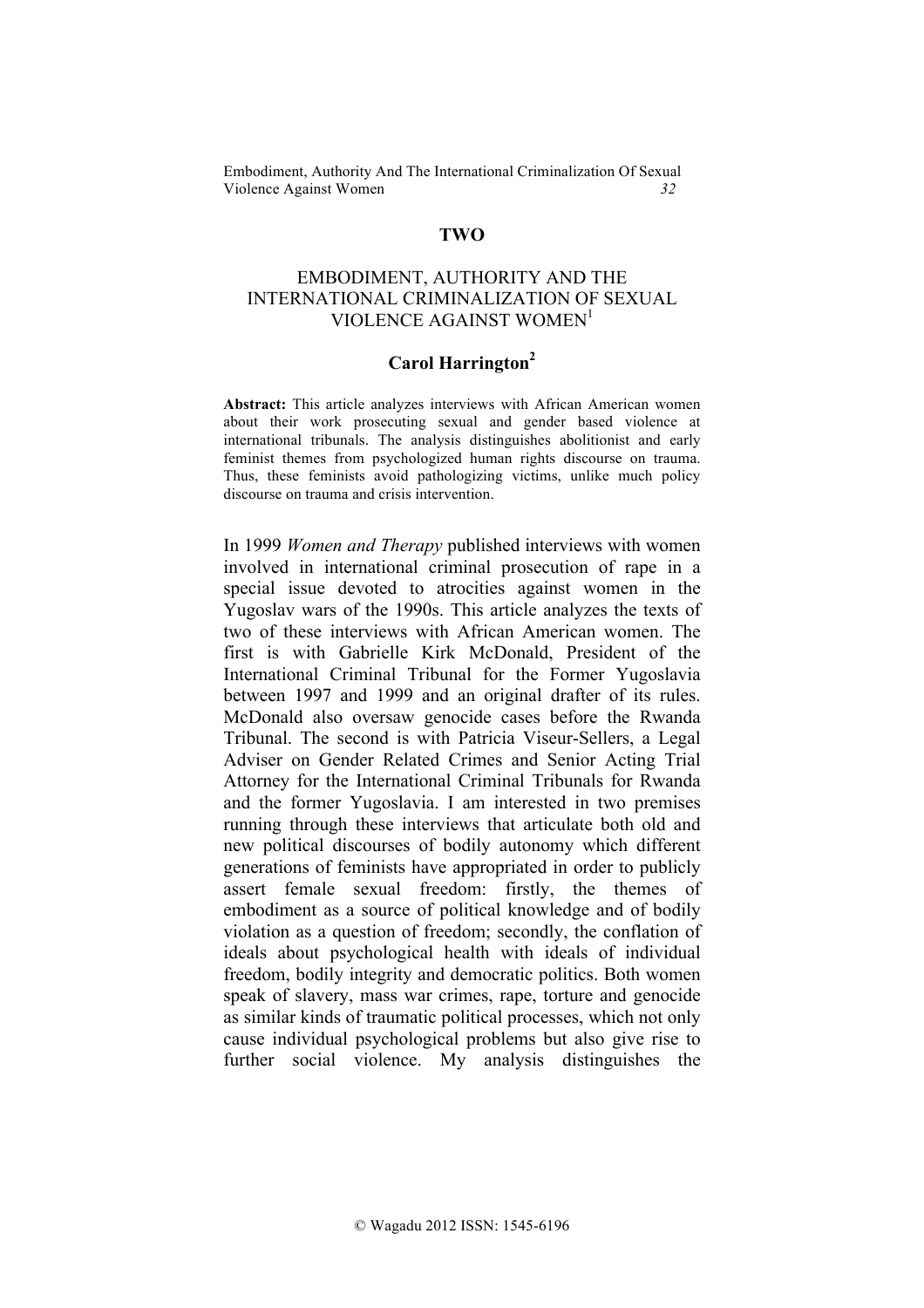## **TWO**

# EMBODIMENT, AUTHORITY AND THE INTERNATIONAL CRIMINALIZATION OF SEXUAL VIOLENCE AGAINST WOMEN<sup>1</sup>

# **Carol Harrington2**

**Abstract:** This article analyzes interviews with African American women about their work prosecuting sexual and gender based violence at international tribunals. The analysis distinguishes abolitionist and early feminist themes from psychologized human rights discourse on trauma. Thus, these feminists avoid pathologizing victims, unlike much policy discourse on trauma and crisis intervention.

In 1999 *Women and Therapy* published interviews with women involved in international criminal prosecution of rape in a special issue devoted to atrocities against women in the Yugoslav wars of the 1990s. This article analyzes the texts of two of these interviews with African American women. The first is with Gabrielle Kirk McDonald, President of the International Criminal Tribunal for the Former Yugoslavia between 1997 and 1999 and an original drafter of its rules. McDonald also oversaw genocide cases before the Rwanda Tribunal. The second is with Patricia Viseur-Sellers, a Legal Adviser on Gender Related Crimes and Senior Acting Trial Attorney for the International Criminal Tribunals for Rwanda and the former Yugoslavia. I am interested in two premises running through these interviews that articulate both old and new political discourses of bodily autonomy which different generations of feminists have appropriated in order to publicly assert female sexual freedom: firstly, the themes of embodiment as a source of political knowledge and of bodily violation as a question of freedom; secondly, the conflation of ideals about psychological health with ideals of individual freedom, bodily integrity and democratic politics. Both women speak of slavery, mass war crimes, rape, torture and genocide as similar kinds of traumatic political processes, which not only cause individual psychological problems but also give rise to further social violence. My analysis distinguishes the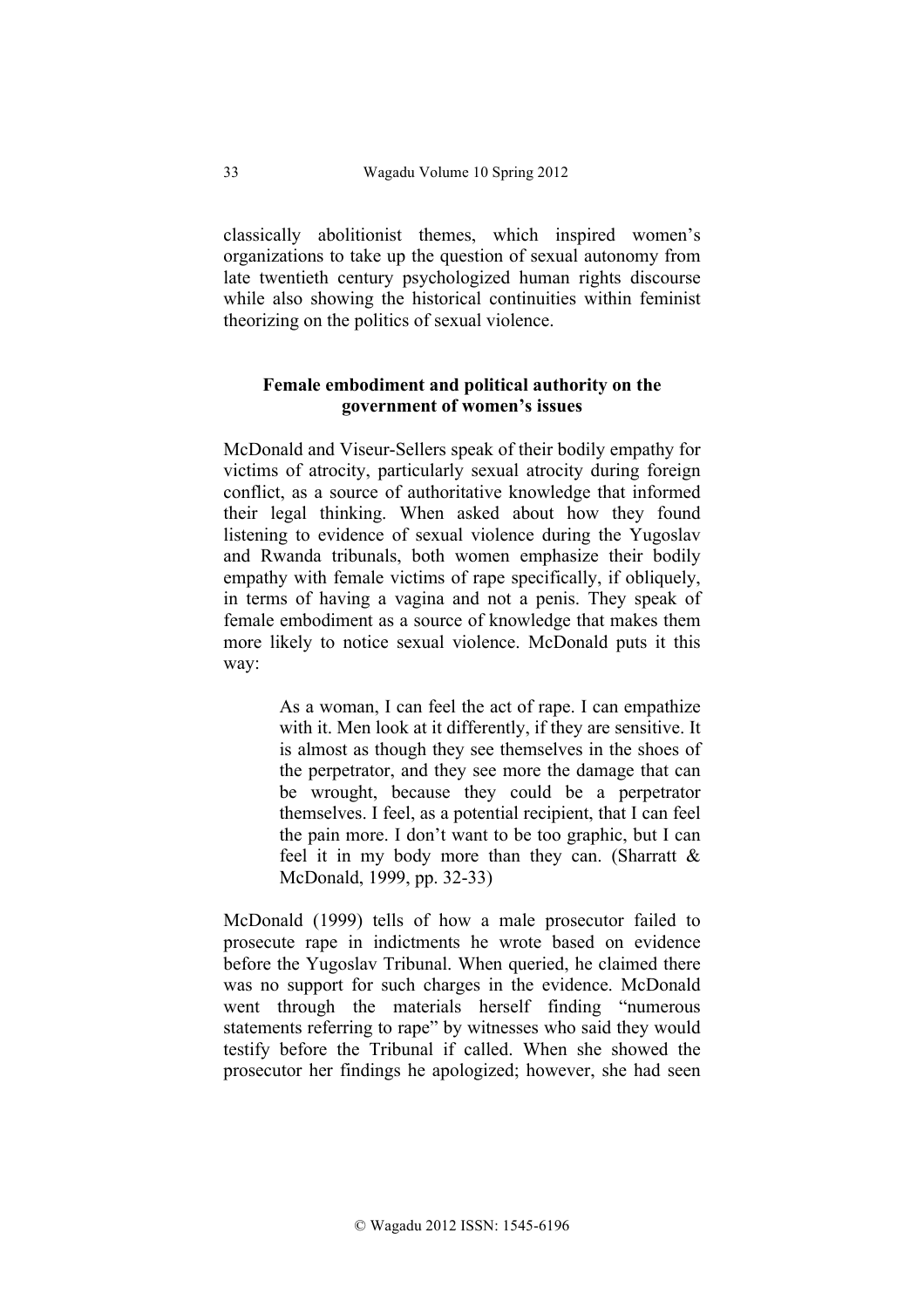classically abolitionist themes, which inspired women's organizations to take up the question of sexual autonomy from late twentieth century psychologized human rights discourse while also showing the historical continuities within feminist theorizing on the politics of sexual violence.

# **Female embodiment and political authority on the government of women's issues**

McDonald and Viseur-Sellers speak of their bodily empathy for victims of atrocity, particularly sexual atrocity during foreign conflict, as a source of authoritative knowledge that informed their legal thinking. When asked about how they found listening to evidence of sexual violence during the Yugoslav and Rwanda tribunals, both women emphasize their bodily empathy with female victims of rape specifically, if obliquely, in terms of having a vagina and not a penis. They speak of female embodiment as a source of knowledge that makes them more likely to notice sexual violence. McDonald puts it this way:

> As a woman, I can feel the act of rape. I can empathize with it. Men look at it differently, if they are sensitive. It is almost as though they see themselves in the shoes of the perpetrator, and they see more the damage that can be wrought, because they could be a perpetrator themselves. I feel, as a potential recipient, that I can feel the pain more. I don't want to be too graphic, but I can feel it in my body more than they can. (Sharratt  $\&$ McDonald, 1999, pp. 32-33)

McDonald (1999) tells of how a male prosecutor failed to prosecute rape in indictments he wrote based on evidence before the Yugoslav Tribunal. When queried, he claimed there was no support for such charges in the evidence. McDonald went through the materials herself finding "numerous statements referring to rape" by witnesses who said they would testify before the Tribunal if called. When she showed the prosecutor her findings he apologized; however, she had seen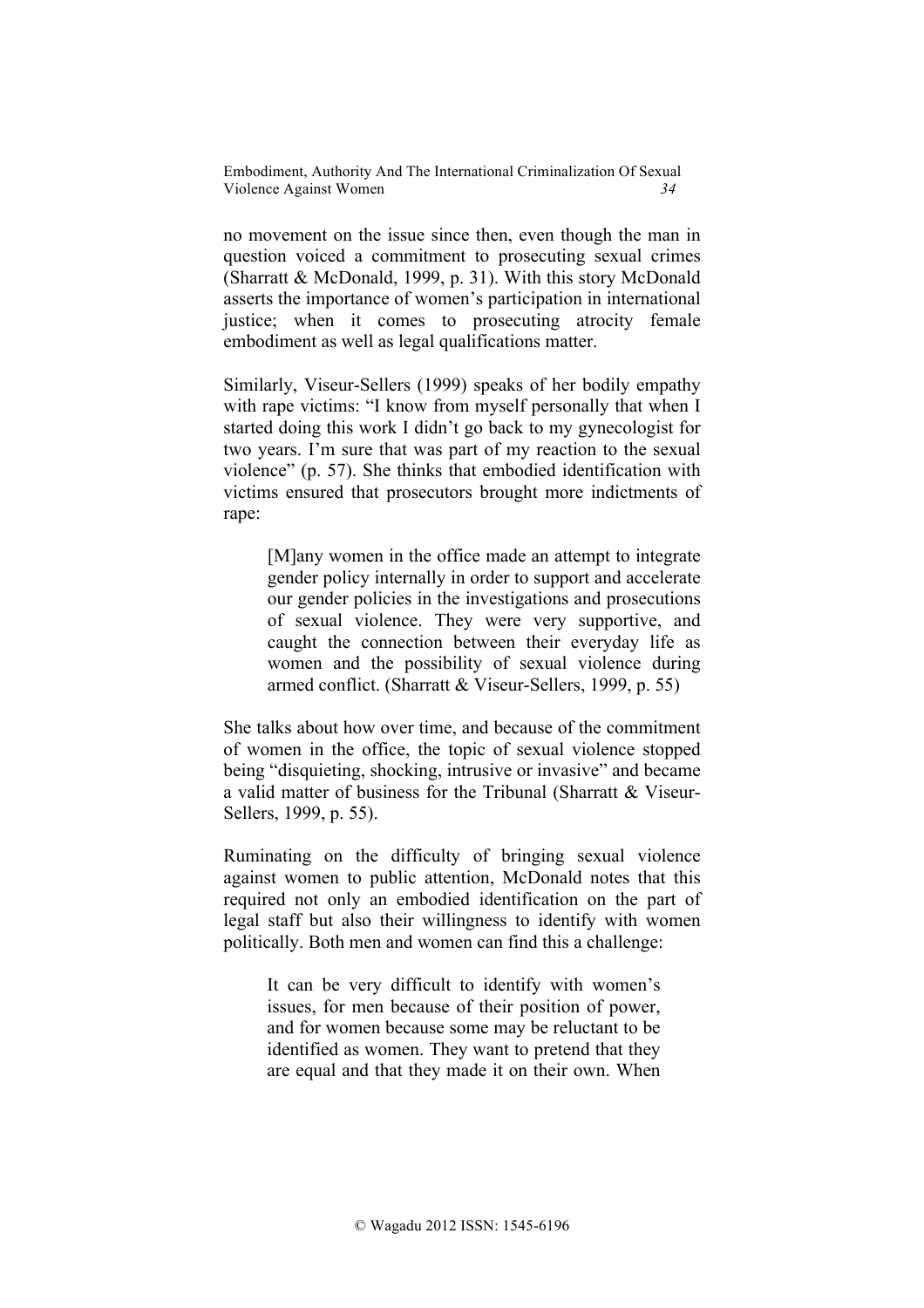no movement on the issue since then, even though the man in question voiced a commitment to prosecuting sexual crimes (Sharratt & McDonald, 1999, p. 31). With this story McDonald asserts the importance of women's participation in international justice; when it comes to prosecuting atrocity female embodiment as well as legal qualifications matter.

Similarly, Viseur-Sellers (1999) speaks of her bodily empathy with rape victims: "I know from myself personally that when I started doing this work I didn't go back to my gynecologist for two years. I'm sure that was part of my reaction to the sexual violence" (p. 57). She thinks that embodied identification with victims ensured that prosecutors brought more indictments of rape:

[M]any women in the office made an attempt to integrate gender policy internally in order to support and accelerate our gender policies in the investigations and prosecutions of sexual violence. They were very supportive, and caught the connection between their everyday life as women and the possibility of sexual violence during armed conflict. (Sharratt & Viseur-Sellers, 1999, p. 55)

She talks about how over time, and because of the commitment of women in the office, the topic of sexual violence stopped being "disquieting, shocking, intrusive or invasive" and became a valid matter of business for the Tribunal (Sharratt & Viseur-Sellers, 1999, p. 55).

Ruminating on the difficulty of bringing sexual violence against women to public attention, McDonald notes that this required not only an embodied identification on the part of legal staff but also their willingness to identify with women politically. Both men and women can find this a challenge:

It can be very difficult to identify with women's issues, for men because of their position of power, and for women because some may be reluctant to be identified as women. They want to pretend that they are equal and that they made it on their own. When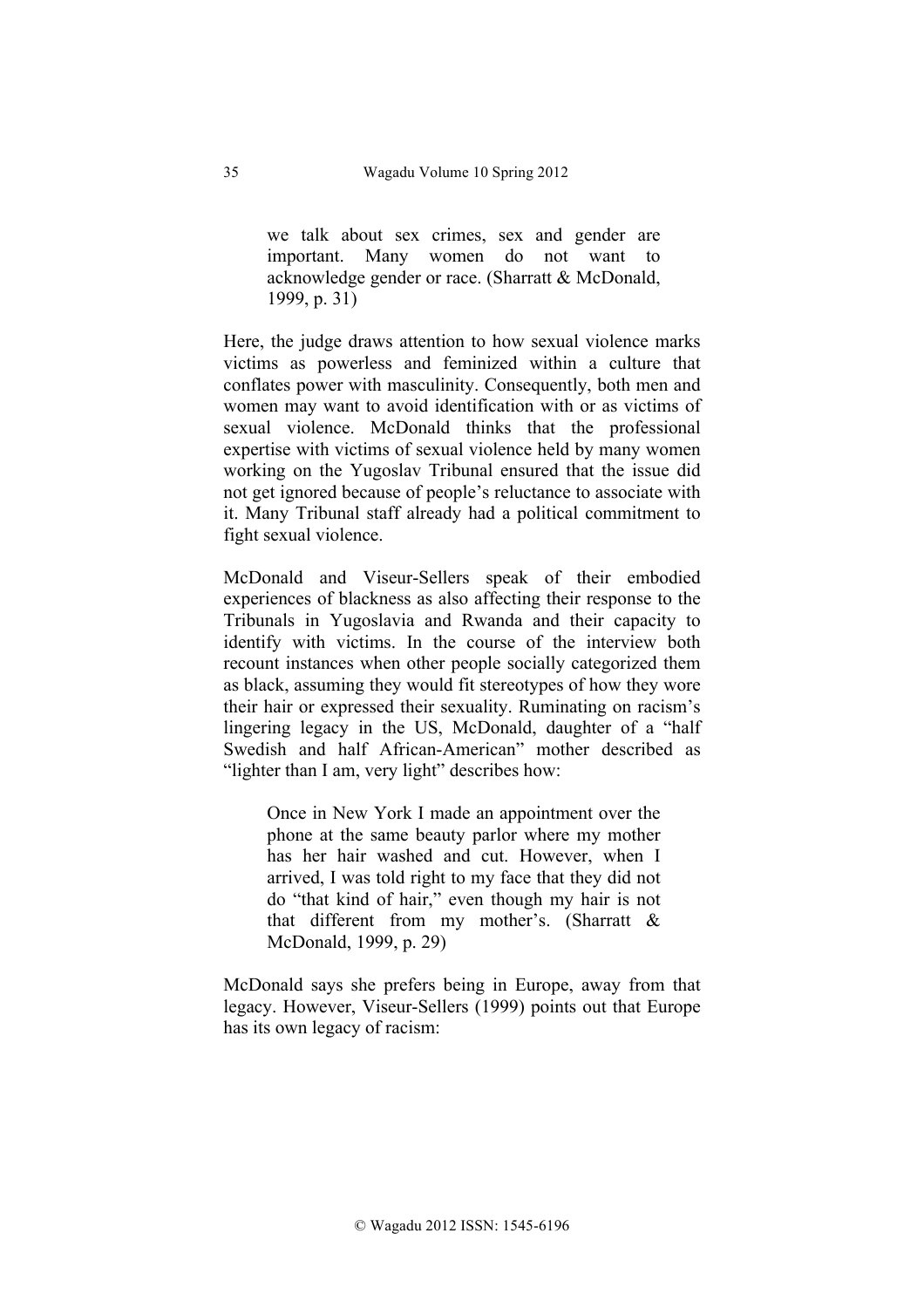we talk about sex crimes, sex and gender are important. Many women do not want to acknowledge gender or race. (Sharratt & McDonald, 1999, p. 31)

Here, the judge draws attention to how sexual violence marks victims as powerless and feminized within a culture that conflates power with masculinity. Consequently, both men and women may want to avoid identification with or as victims of sexual violence. McDonald thinks that the professional expertise with victims of sexual violence held by many women working on the Yugoslav Tribunal ensured that the issue did not get ignored because of people's reluctance to associate with it. Many Tribunal staff already had a political commitment to fight sexual violence.

McDonald and Viseur-Sellers speak of their embodied experiences of blackness as also affecting their response to the Tribunals in Yugoslavia and Rwanda and their capacity to identify with victims. In the course of the interview both recount instances when other people socially categorized them as black, assuming they would fit stereotypes of how they wore their hair or expressed their sexuality. Ruminating on racism's lingering legacy in the US, McDonald, daughter of a "half Swedish and half African-American" mother described as "lighter than I am, very light" describes how:

Once in New York I made an appointment over the phone at the same beauty parlor where my mother has her hair washed and cut. However, when I arrived, I was told right to my face that they did not do "that kind of hair," even though my hair is not that different from my mother's. (Sharratt & McDonald, 1999, p. 29)

McDonald says she prefers being in Europe, away from that legacy. However, Viseur-Sellers (1999) points out that Europe has its own legacy of racism: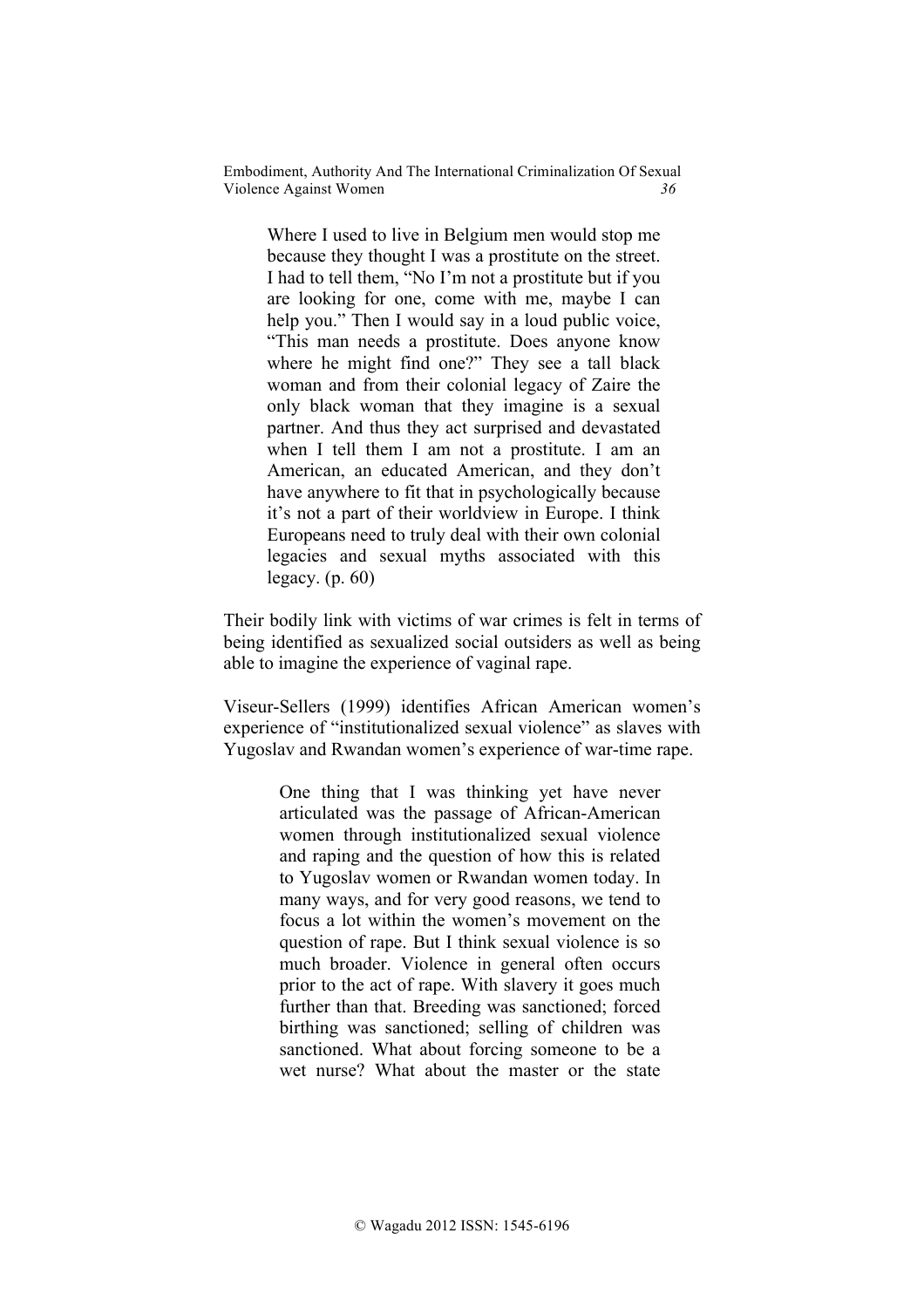Where I used to live in Belgium men would stop me because they thought I was a prostitute on the street. I had to tell them, "No I'm not a prostitute but if you are looking for one, come with me, maybe I can help you." Then I would say in a loud public voice, "This man needs a prostitute. Does anyone know where he might find one?" They see a tall black woman and from their colonial legacy of Zaire the only black woman that they imagine is a sexual partner. And thus they act surprised and devastated when I tell them I am not a prostitute. I am an American, an educated American, and they don't have anywhere to fit that in psychologically because it's not a part of their worldview in Europe. I think Europeans need to truly deal with their own colonial legacies and sexual myths associated with this legacy.  $(p. 60)$ 

Their bodily link with victims of war crimes is felt in terms of being identified as sexualized social outsiders as well as being able to imagine the experience of vaginal rape.

Viseur-Sellers (1999) identifies African American women's experience of "institutionalized sexual violence" as slaves with Yugoslav and Rwandan women's experience of war-time rape.

> One thing that I was thinking yet have never articulated was the passage of African-American women through institutionalized sexual violence and raping and the question of how this is related to Yugoslav women or Rwandan women today. In many ways, and for very good reasons, we tend to focus a lot within the women's movement on the question of rape. But I think sexual violence is so much broader. Violence in general often occurs prior to the act of rape. With slavery it goes much further than that. Breeding was sanctioned; forced birthing was sanctioned; selling of children was sanctioned. What about forcing someone to be a wet nurse? What about the master or the state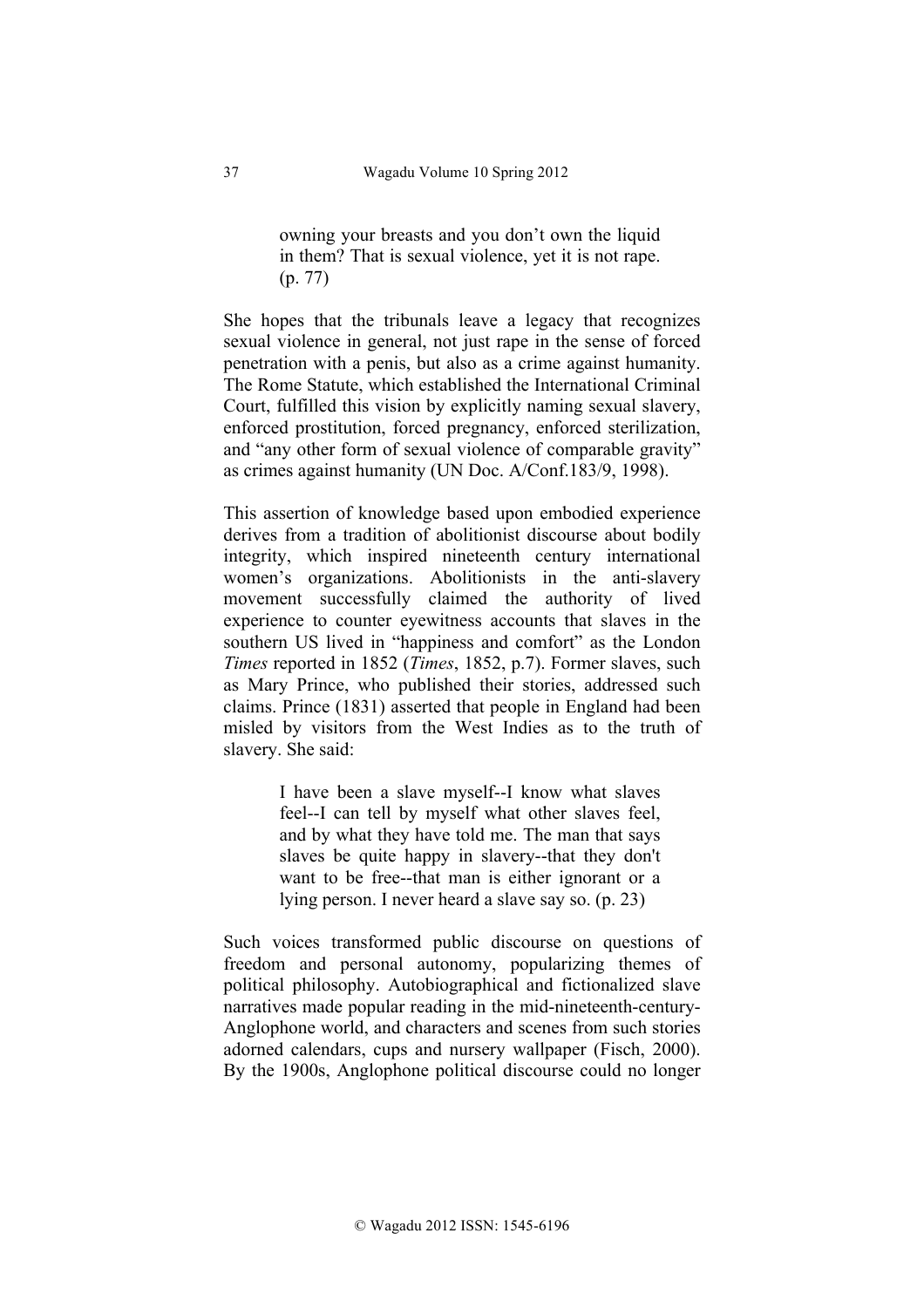owning your breasts and you don't own the liquid in them? That is sexual violence, yet it is not rape. (p. 77)

She hopes that the tribunals leave a legacy that recognizes sexual violence in general, not just rape in the sense of forced penetration with a penis, but also as a crime against humanity. The Rome Statute, which established the International Criminal Court, fulfilled this vision by explicitly naming sexual slavery, enforced prostitution, forced pregnancy, enforced sterilization, and "any other form of sexual violence of comparable gravity" as crimes against humanity (UN Doc. A/Conf.183/9, 1998).

This assertion of knowledge based upon embodied experience derives from a tradition of abolitionist discourse about bodily integrity, which inspired nineteenth century international women's organizations. Abolitionists in the anti-slavery movement successfully claimed the authority of lived experience to counter eyewitness accounts that slaves in the southern US lived in "happiness and comfort" as the London *Times* reported in 1852 (*Times*, 1852, p.7). Former slaves, such as Mary Prince, who published their stories, addressed such claims. Prince (1831) asserted that people in England had been misled by visitors from the West Indies as to the truth of slavery. She said:

> I have been a slave myself--I know what slaves feel--I can tell by myself what other slaves feel, and by what they have told me. The man that says slaves be quite happy in slavery--that they don't want to be free--that man is either ignorant or a lying person. I never heard a slave say so. (p. 23)

Such voices transformed public discourse on questions of freedom and personal autonomy, popularizing themes of political philosophy. Autobiographical and fictionalized slave narratives made popular reading in the mid-nineteenth-century-Anglophone world, and characters and scenes from such stories adorned calendars, cups and nursery wallpaper (Fisch, 2000). By the 1900s, Anglophone political discourse could no longer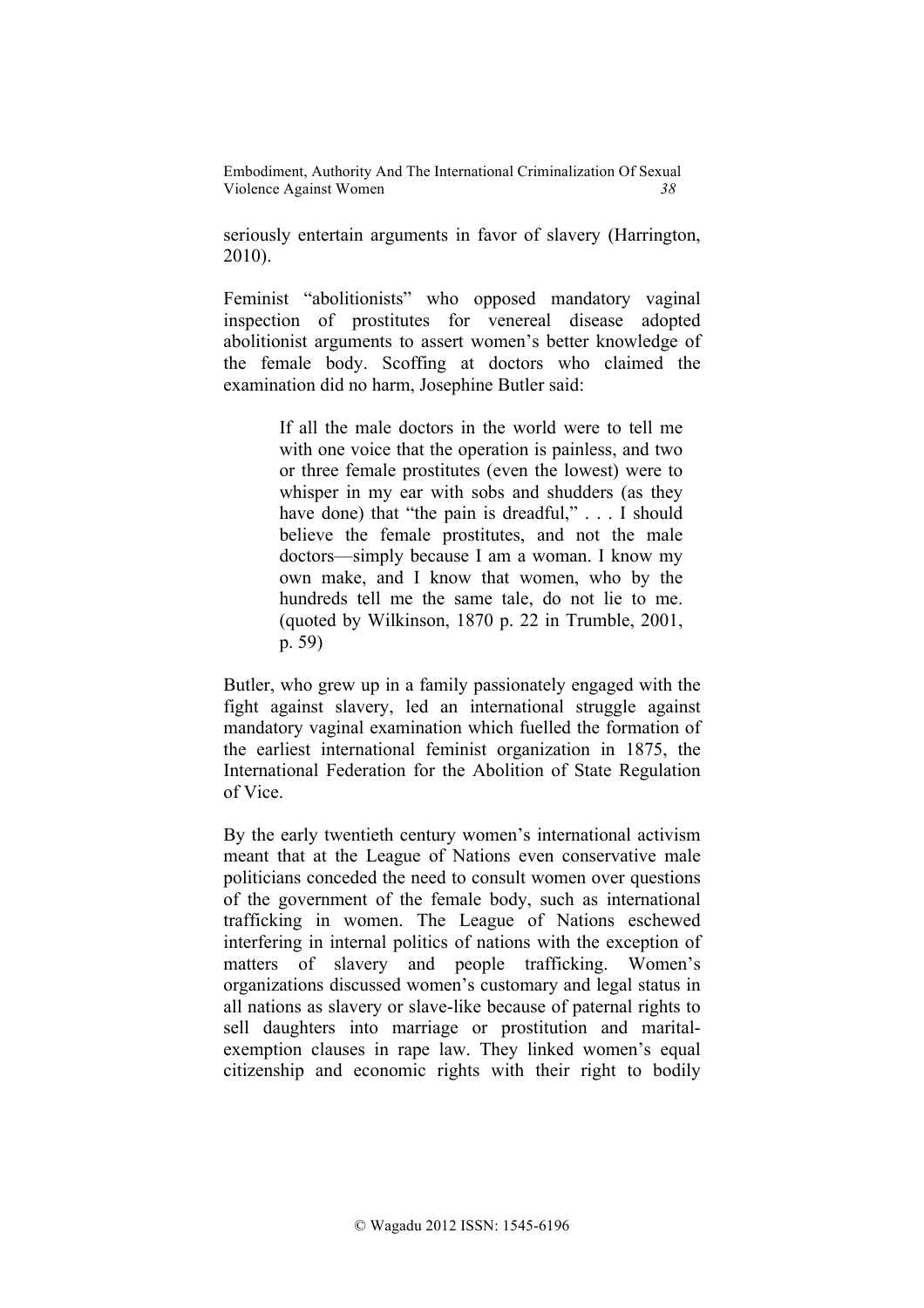seriously entertain arguments in favor of slavery (Harrington, 2010).

Feminist "abolitionists" who opposed mandatory vaginal inspection of prostitutes for venereal disease adopted abolitionist arguments to assert women's better knowledge of the female body. Scoffing at doctors who claimed the examination did no harm, Josephine Butler said:

> If all the male doctors in the world were to tell me with one voice that the operation is painless, and two or three female prostitutes (even the lowest) were to whisper in my ear with sobs and shudders (as they have done) that "the pain is dreadful," . . . I should believe the female prostitutes, and not the male doctors—simply because I am a woman. I know my own make, and I know that women, who by the hundreds tell me the same tale, do not lie to me. (quoted by Wilkinson, 1870 p. 22 in Trumble, 2001, p. 59)

Butler, who grew up in a family passionately engaged with the fight against slavery, led an international struggle against mandatory vaginal examination which fuelled the formation of the earliest international feminist organization in 1875, the International Federation for the Abolition of State Regulation of Vice.

By the early twentieth century women's international activism meant that at the League of Nations even conservative male politicians conceded the need to consult women over questions of the government of the female body, such as international trafficking in women. The League of Nations eschewed interfering in internal politics of nations with the exception of matters of slavery and people trafficking. Women's organizations discussed women's customary and legal status in all nations as slavery or slave-like because of paternal rights to sell daughters into marriage or prostitution and maritalexemption clauses in rape law. They linked women's equal citizenship and economic rights with their right to bodily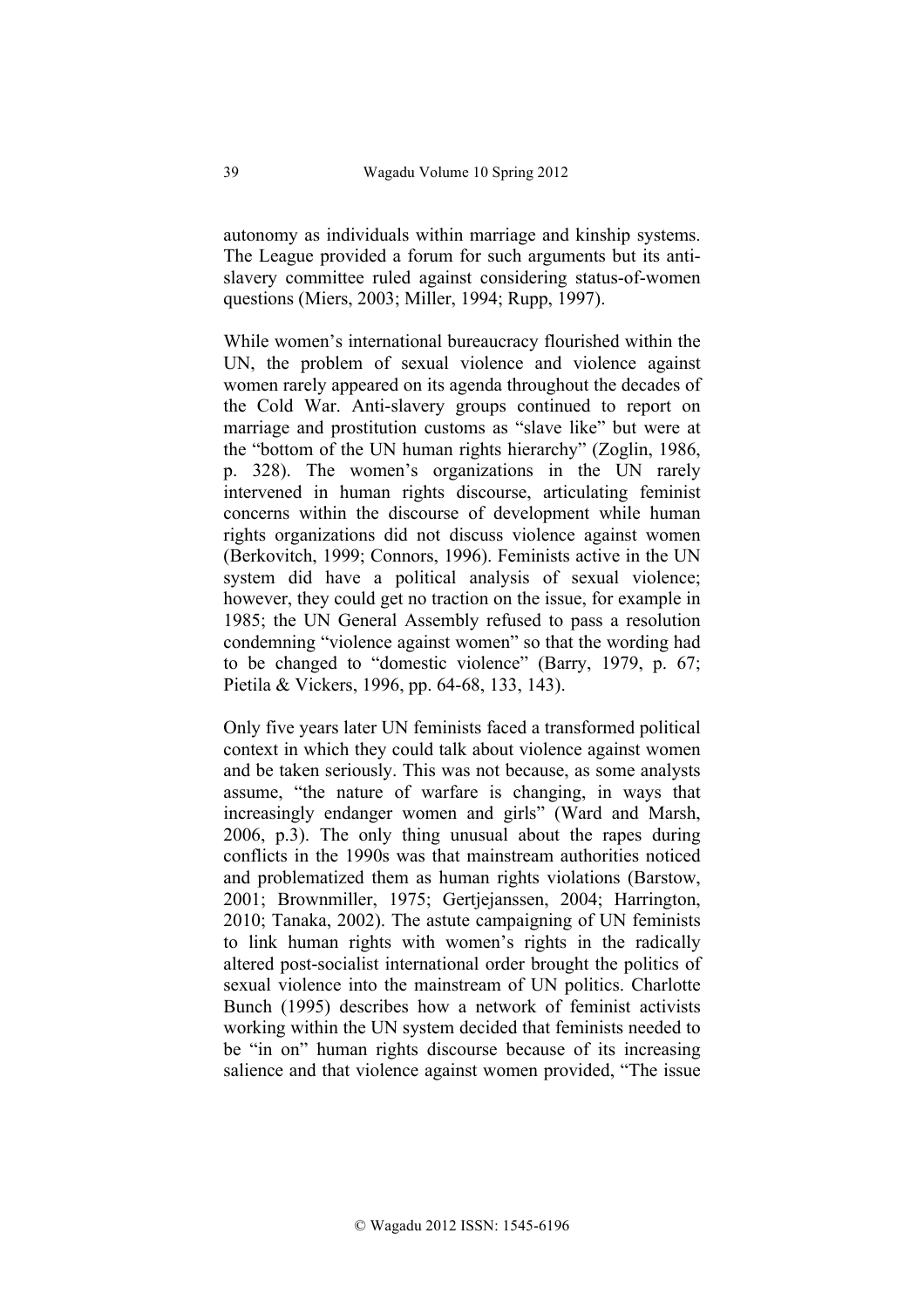autonomy as individuals within marriage and kinship systems. The League provided a forum for such arguments but its antislavery committee ruled against considering status-of-women questions (Miers, 2003; Miller, 1994; Rupp, 1997).

While women's international bureaucracy flourished within the UN, the problem of sexual violence and violence against women rarely appeared on its agenda throughout the decades of the Cold War. Anti-slavery groups continued to report on marriage and prostitution customs as "slave like" but were at the "bottom of the UN human rights hierarchy" (Zoglin, 1986, p. 328). The women's organizations in the UN rarely intervened in human rights discourse, articulating feminist concerns within the discourse of development while human rights organizations did not discuss violence against women (Berkovitch, 1999; Connors, 1996). Feminists active in the UN system did have a political analysis of sexual violence; however, they could get no traction on the issue, for example in 1985; the UN General Assembly refused to pass a resolution condemning "violence against women" so that the wording had to be changed to "domestic violence" (Barry, 1979, p. 67; Pietila & Vickers, 1996, pp. 64-68, 133, 143).

Only five years later UN feminists faced a transformed political context in which they could talk about violence against women and be taken seriously. This was not because, as some analysts assume, "the nature of warfare is changing, in ways that increasingly endanger women and girls" (Ward and Marsh, 2006, p.3). The only thing unusual about the rapes during conflicts in the 1990s was that mainstream authorities noticed and problematized them as human rights violations (Barstow, 2001; Brownmiller, 1975; Gertjejanssen, 2004; Harrington, 2010; Tanaka, 2002). The astute campaigning of UN feminists to link human rights with women's rights in the radically altered post-socialist international order brought the politics of sexual violence into the mainstream of UN politics. Charlotte Bunch (1995) describes how a network of feminist activists working within the UN system decided that feminists needed to be "in on" human rights discourse because of its increasing salience and that violence against women provided, "The issue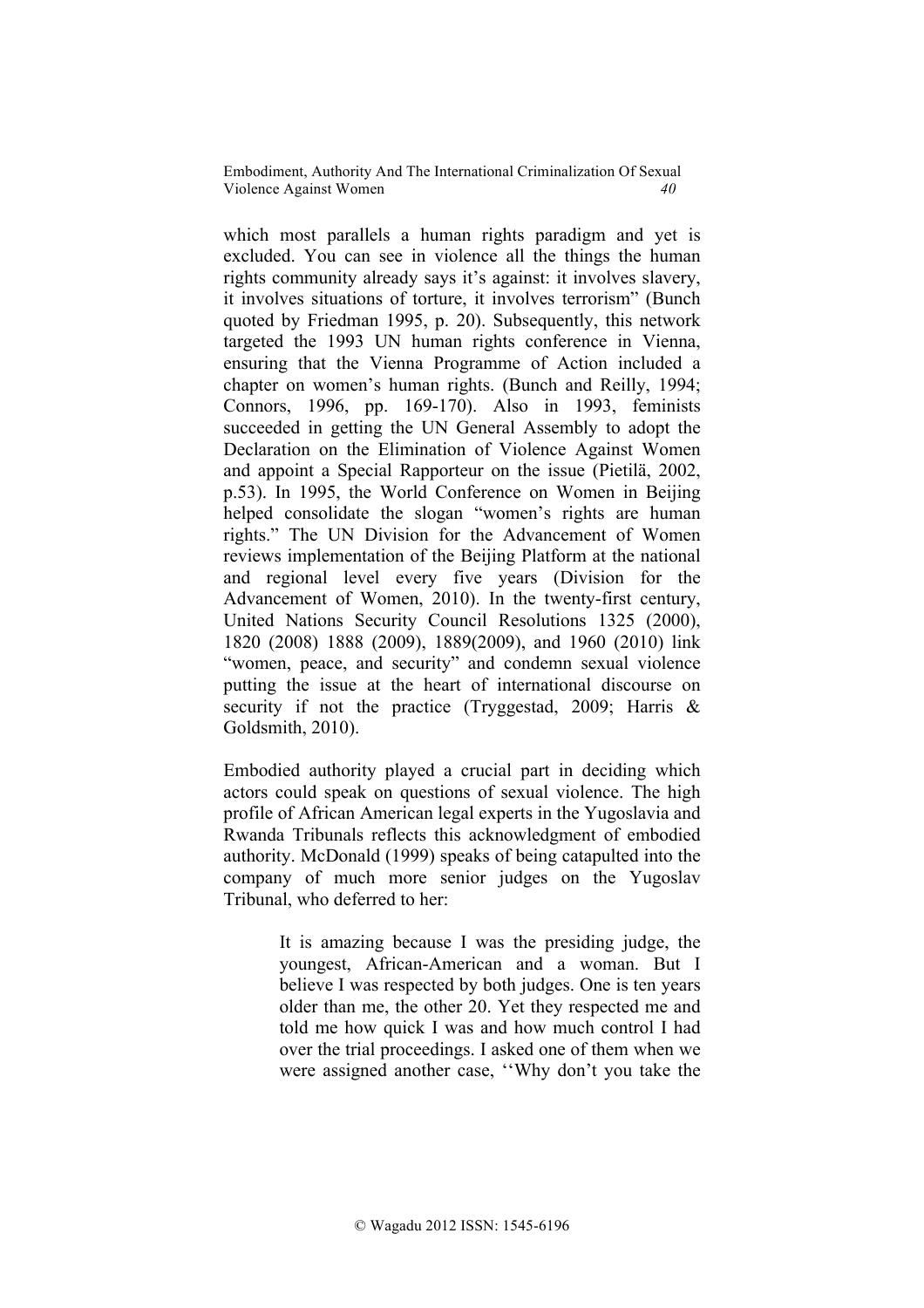which most parallels a human rights paradigm and yet is excluded. You can see in violence all the things the human rights community already says it's against: it involves slavery, it involves situations of torture, it involves terrorism" (Bunch quoted by Friedman 1995, p. 20). Subsequently, this network targeted the 1993 UN human rights conference in Vienna, ensuring that the Vienna Programme of Action included a chapter on women's human rights. (Bunch and Reilly, 1994; Connors, 1996, pp. 169-170). Also in 1993, feminists succeeded in getting the UN General Assembly to adopt the Declaration on the Elimination of Violence Against Women and appoint a Special Rapporteur on the issue (Pietilä, 2002, p.53). In 1995, the World Conference on Women in Beijing helped consolidate the slogan "women's rights are human rights." The UN Division for the Advancement of Women reviews implementation of the Beijing Platform at the national and regional level every five years (Division for the Advancement of Women, 2010). In the twenty-first century, United Nations Security Council Resolutions 1325 (2000), 1820 (2008) 1888 (2009), 1889(2009), and 1960 (2010) link "women, peace, and security" and condemn sexual violence putting the issue at the heart of international discourse on security if not the practice (Tryggestad, 2009; Harris & Goldsmith, 2010).

Embodied authority played a crucial part in deciding which actors could speak on questions of sexual violence. The high profile of African American legal experts in the Yugoslavia and Rwanda Tribunals reflects this acknowledgment of embodied authority. McDonald (1999) speaks of being catapulted into the company of much more senior judges on the Yugoslav Tribunal, who deferred to her:

> It is amazing because I was the presiding judge, the youngest, African-American and a woman. But I believe I was respected by both judges. One is ten years older than me, the other 20. Yet they respected me and told me how quick I was and how much control I had over the trial proceedings. I asked one of them when we were assigned another case, ''Why don't you take the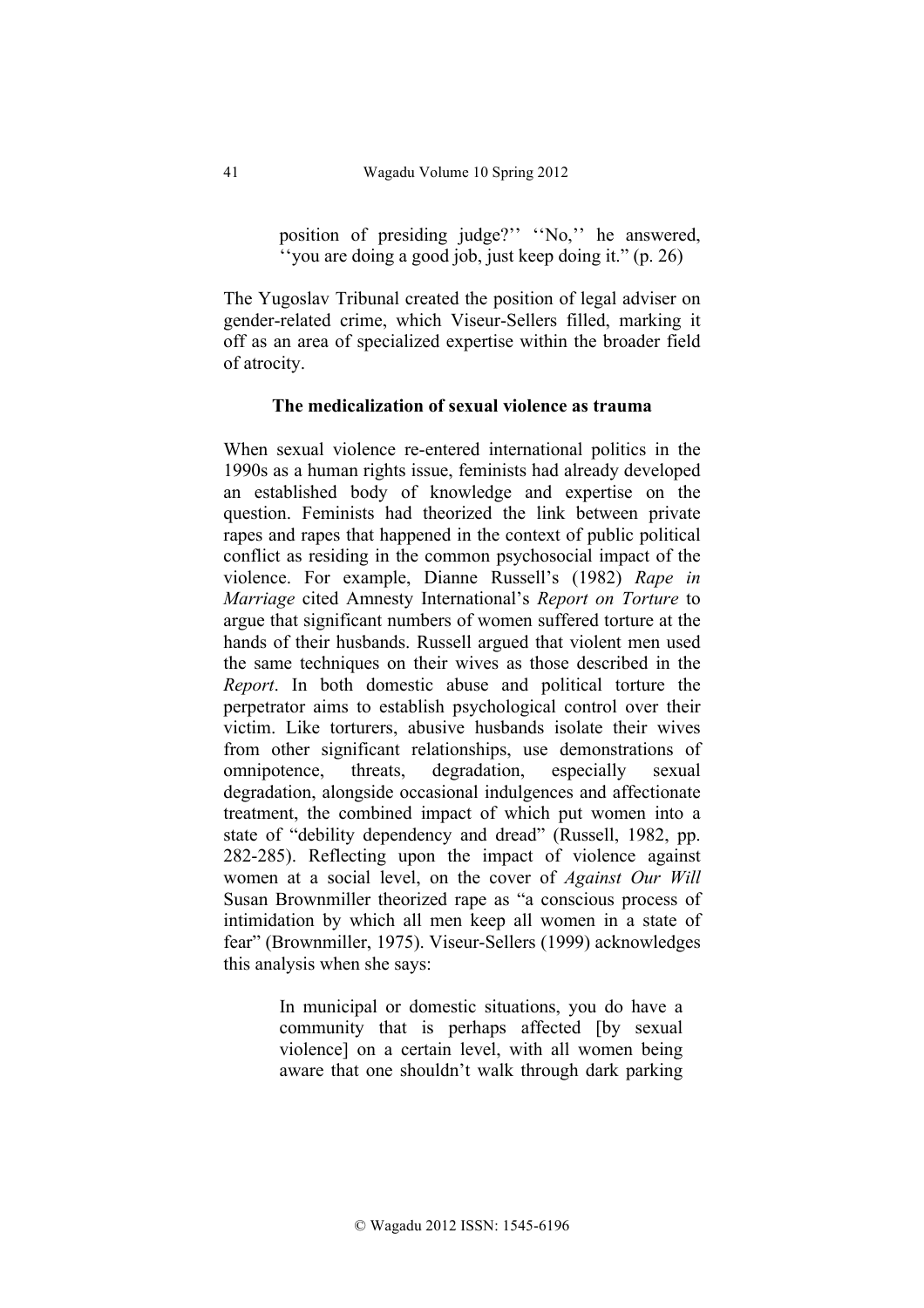position of presiding judge?'' ''No,'' he answered, ''you are doing a good job, just keep doing it." (p. 26)

The Yugoslav Tribunal created the position of legal adviser on gender-related crime, which Viseur-Sellers filled, marking it off as an area of specialized expertise within the broader field of atrocity.

### **The medicalization of sexual violence as trauma**

When sexual violence re-entered international politics in the 1990s as a human rights issue, feminists had already developed an established body of knowledge and expertise on the question. Feminists had theorized the link between private rapes and rapes that happened in the context of public political conflict as residing in the common psychosocial impact of the violence. For example, Dianne Russell's (1982) *Rape in Marriage* cited Amnesty International's *Report on Torture* to argue that significant numbers of women suffered torture at the hands of their husbands. Russell argued that violent men used the same techniques on their wives as those described in the *Report*. In both domestic abuse and political torture the perpetrator aims to establish psychological control over their victim. Like torturers, abusive husbands isolate their wives from other significant relationships, use demonstrations of omnipotence, threats, degradation, especially sexual degradation, alongside occasional indulgences and affectionate treatment, the combined impact of which put women into a state of "debility dependency and dread" (Russell, 1982, pp. 282-285). Reflecting upon the impact of violence against women at a social level, on the cover of *Against Our Will* Susan Brownmiller theorized rape as "a conscious process of intimidation by which all men keep all women in a state of fear" (Brownmiller, 1975). Viseur-Sellers (1999) acknowledges this analysis when she says:

> In municipal or domestic situations, you do have a community that is perhaps affected [by sexual violence] on a certain level, with all women being aware that one shouldn't walk through dark parking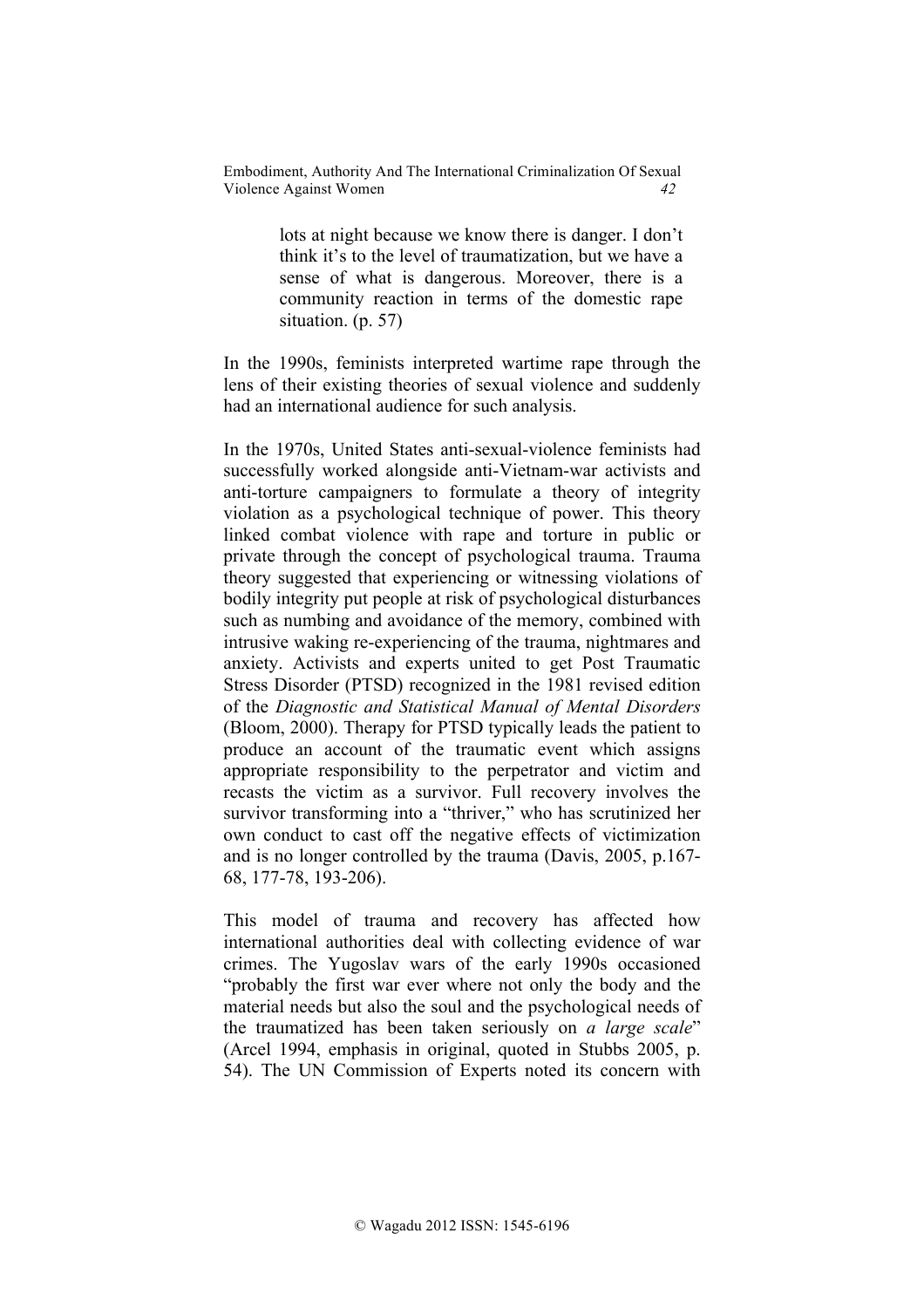> lots at night because we know there is danger. I don't think it's to the level of traumatization, but we have a sense of what is dangerous. Moreover, there is a community reaction in terms of the domestic rape situation. (p. 57)

In the 1990s, feminists interpreted wartime rape through the lens of their existing theories of sexual violence and suddenly had an international audience for such analysis.

In the 1970s, United States anti-sexual-violence feminists had successfully worked alongside anti-Vietnam-war activists and anti-torture campaigners to formulate a theory of integrity violation as a psychological technique of power. This theory linked combat violence with rape and torture in public or private through the concept of psychological trauma. Trauma theory suggested that experiencing or witnessing violations of bodily integrity put people at risk of psychological disturbances such as numbing and avoidance of the memory, combined with intrusive waking re-experiencing of the trauma, nightmares and anxiety. Activists and experts united to get Post Traumatic Stress Disorder (PTSD) recognized in the 1981 revised edition of the *Diagnostic and Statistical Manual of Mental Disorders* (Bloom, 2000). Therapy for PTSD typically leads the patient to produce an account of the traumatic event which assigns appropriate responsibility to the perpetrator and victim and recasts the victim as a survivor. Full recovery involves the survivor transforming into a "thriver," who has scrutinized her own conduct to cast off the negative effects of victimization and is no longer controlled by the trauma (Davis, 2005, p.167- 68, 177-78, 193-206).

This model of trauma and recovery has affected how international authorities deal with collecting evidence of war crimes. The Yugoslav wars of the early 1990s occasioned "probably the first war ever where not only the body and the material needs but also the soul and the psychological needs of the traumatized has been taken seriously on *a large scale*" (Arcel 1994, emphasis in original, quoted in Stubbs 2005, p. 54). The UN Commission of Experts noted its concern with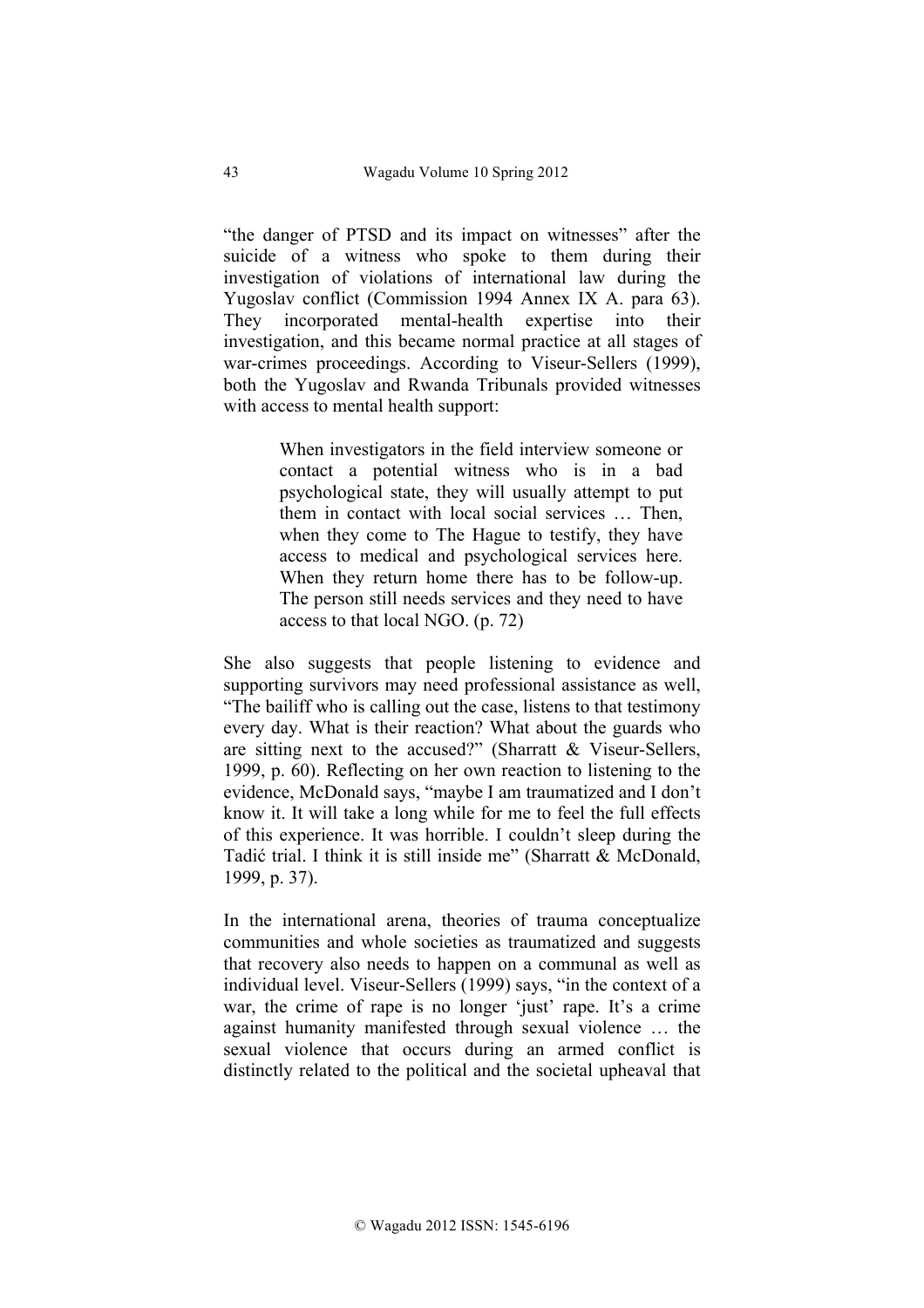"the danger of PTSD and its impact on witnesses" after the suicide of a witness who spoke to them during their investigation of violations of international law during the Yugoslav conflict (Commission 1994 Annex IX A. para 63). They incorporated mental-health expertise into their investigation, and this became normal practice at all stages of war-crimes proceedings. According to Viseur-Sellers (1999), both the Yugoslav and Rwanda Tribunals provided witnesses with access to mental health support:

> When investigators in the field interview someone or contact a potential witness who is in a bad psychological state, they will usually attempt to put them in contact with local social services … Then, when they come to The Hague to testify, they have access to medical and psychological services here. When they return home there has to be follow-up. The person still needs services and they need to have access to that local NGO. (p. 72)

She also suggests that people listening to evidence and supporting survivors may need professional assistance as well, "The bailiff who is calling out the case, listens to that testimony every day. What is their reaction? What about the guards who are sitting next to the accused?" (Sharratt & Viseur-Sellers, 1999, p. 60). Reflecting on her own reaction to listening to the evidence, McDonald says, "maybe I am traumatized and I don't know it. It will take a long while for me to feel the full effects of this experience. It was horrible. I couldn't sleep during the Tadić trial. I think it is still inside me" (Sharratt & McDonald, 1999, p. 37).

In the international arena, theories of trauma conceptualize communities and whole societies as traumatized and suggests that recovery also needs to happen on a communal as well as individual level. Viseur-Sellers (1999) says, "in the context of a war, the crime of rape is no longer 'just' rape. It's a crime against humanity manifested through sexual violence … the sexual violence that occurs during an armed conflict is distinctly related to the political and the societal upheaval that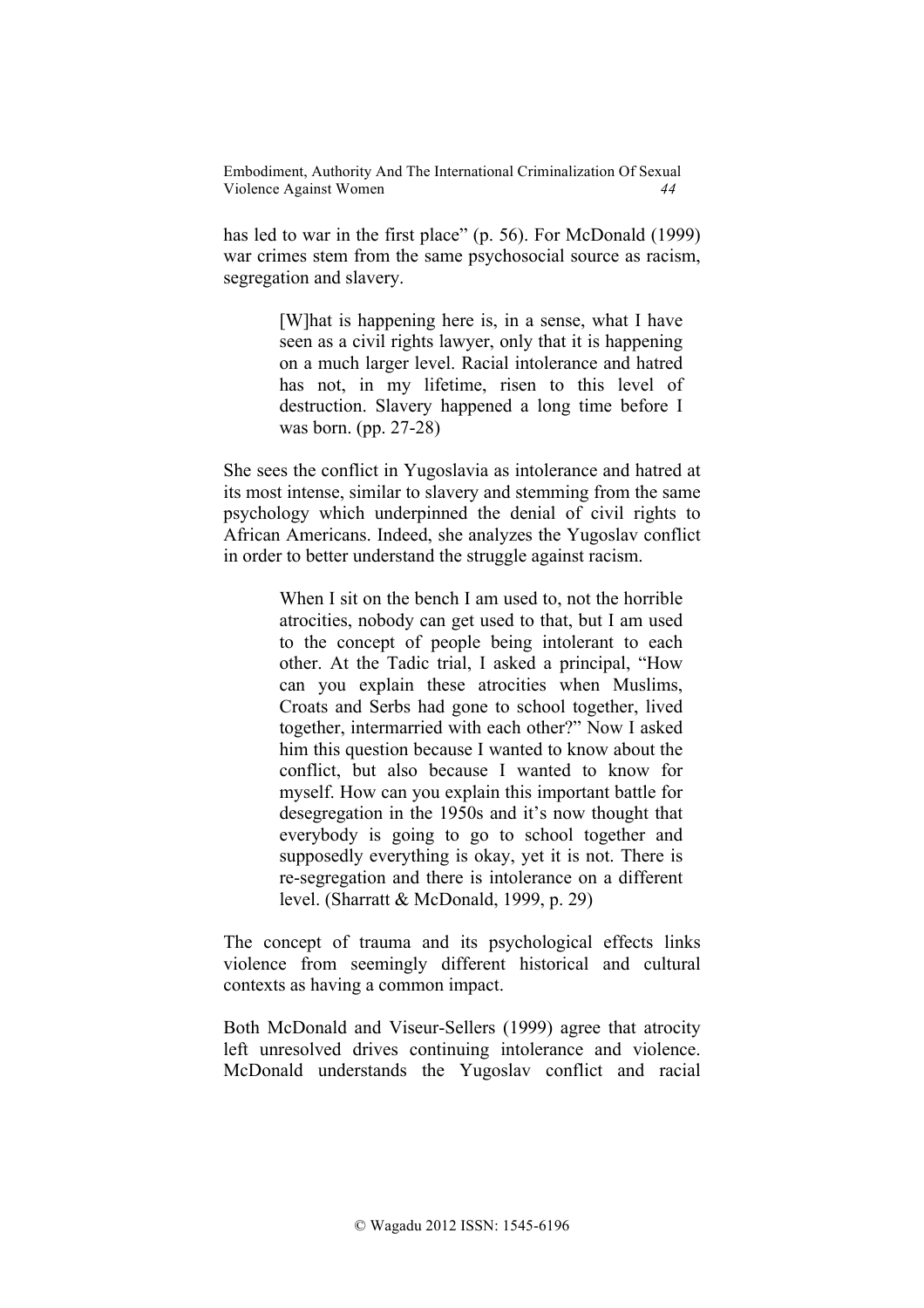has led to war in the first place" (p. 56). For McDonald (1999) war crimes stem from the same psychosocial source as racism, segregation and slavery.

> [W]hat is happening here is, in a sense, what I have seen as a civil rights lawyer, only that it is happening on a much larger level. Racial intolerance and hatred has not, in my lifetime, risen to this level of destruction. Slavery happened a long time before I was born. (pp. 27-28)

She sees the conflict in Yugoslavia as intolerance and hatred at its most intense, similar to slavery and stemming from the same psychology which underpinned the denial of civil rights to African Americans. Indeed, she analyzes the Yugoslav conflict in order to better understand the struggle against racism.

> When I sit on the bench I am used to, not the horrible atrocities, nobody can get used to that, but I am used to the concept of people being intolerant to each other. At the Tadic trial, I asked a principal, "How can you explain these atrocities when Muslims, Croats and Serbs had gone to school together, lived together, intermarried with each other?" Now I asked him this question because I wanted to know about the conflict, but also because I wanted to know for myself. How can you explain this important battle for desegregation in the 1950s and it's now thought that everybody is going to go to school together and supposedly everything is okay, yet it is not. There is re-segregation and there is intolerance on a different level. (Sharratt & McDonald, 1999, p. 29)

The concept of trauma and its psychological effects links violence from seemingly different historical and cultural contexts as having a common impact.

Both McDonald and Viseur-Sellers (1999) agree that atrocity left unresolved drives continuing intolerance and violence. McDonald understands the Yugoslav conflict and racial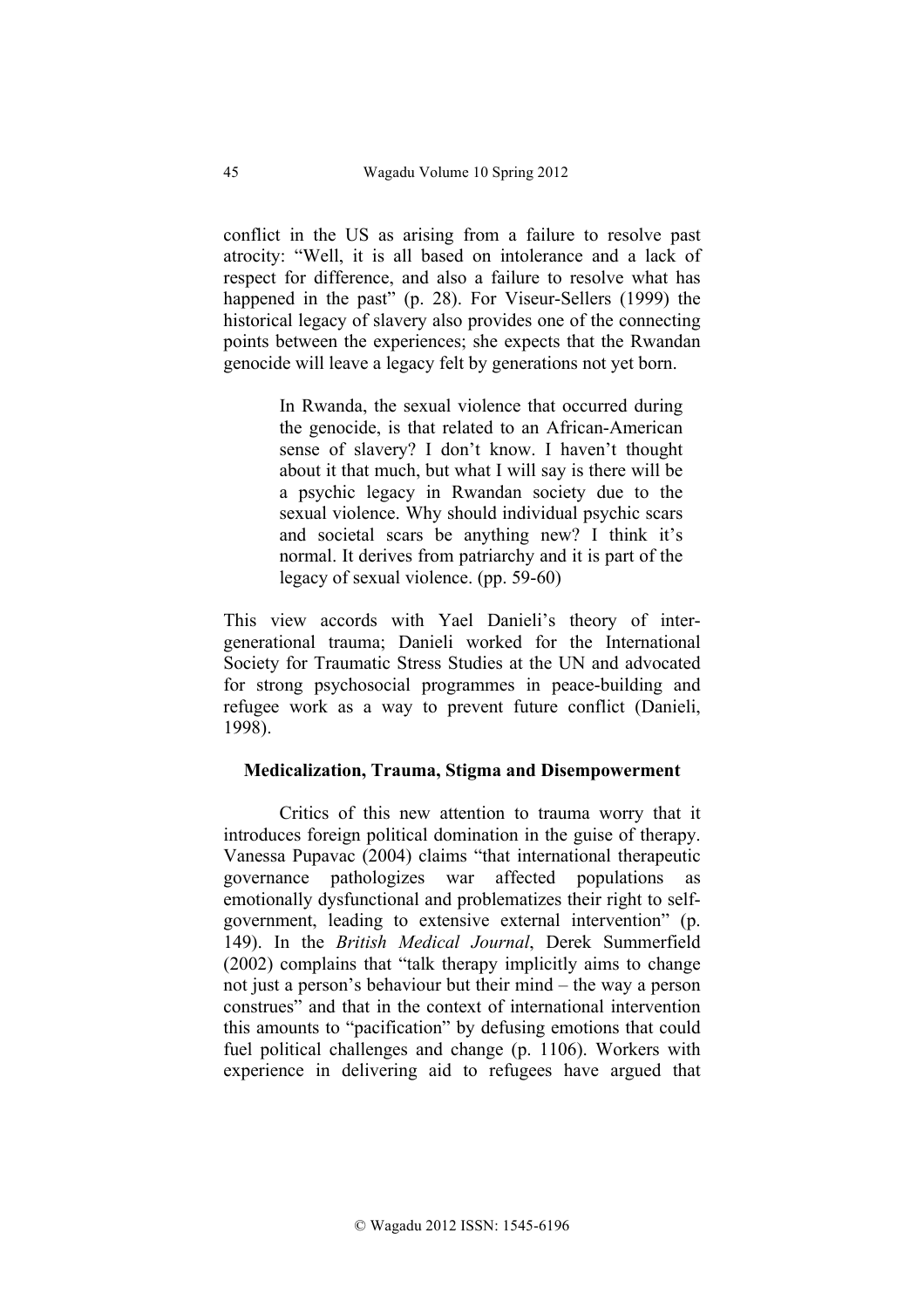conflict in the US as arising from a failure to resolve past atrocity: "Well, it is all based on intolerance and a lack of respect for difference, and also a failure to resolve what has happened in the past" (p. 28). For Viseur-Sellers (1999) the historical legacy of slavery also provides one of the connecting points between the experiences; she expects that the Rwandan genocide will leave a legacy felt by generations not yet born.

> In Rwanda, the sexual violence that occurred during the genocide, is that related to an African-American sense of slavery? I don't know. I haven't thought about it that much, but what I will say is there will be a psychic legacy in Rwandan society due to the sexual violence. Why should individual psychic scars and societal scars be anything new? I think it's normal. It derives from patriarchy and it is part of the legacy of sexual violence. (pp. 59-60)

This view accords with Yael Danieli's theory of intergenerational trauma; Danieli worked for the International Society for Traumatic Stress Studies at the UN and advocated for strong psychosocial programmes in peace-building and refugee work as a way to prevent future conflict (Danieli, 1998).

#### **Medicalization, Trauma, Stigma and Disempowerment**

Critics of this new attention to trauma worry that it introduces foreign political domination in the guise of therapy. Vanessa Pupavac (2004) claims "that international therapeutic governance pathologizes war affected populations as emotionally dysfunctional and problematizes their right to selfgovernment, leading to extensive external intervention" (p. 149). In the *British Medical Journal*, Derek Summerfield (2002) complains that "talk therapy implicitly aims to change not just a person's behaviour but their mind – the way a person construes" and that in the context of international intervention this amounts to "pacification" by defusing emotions that could fuel political challenges and change (p. 1106). Workers with experience in delivering aid to refugees have argued that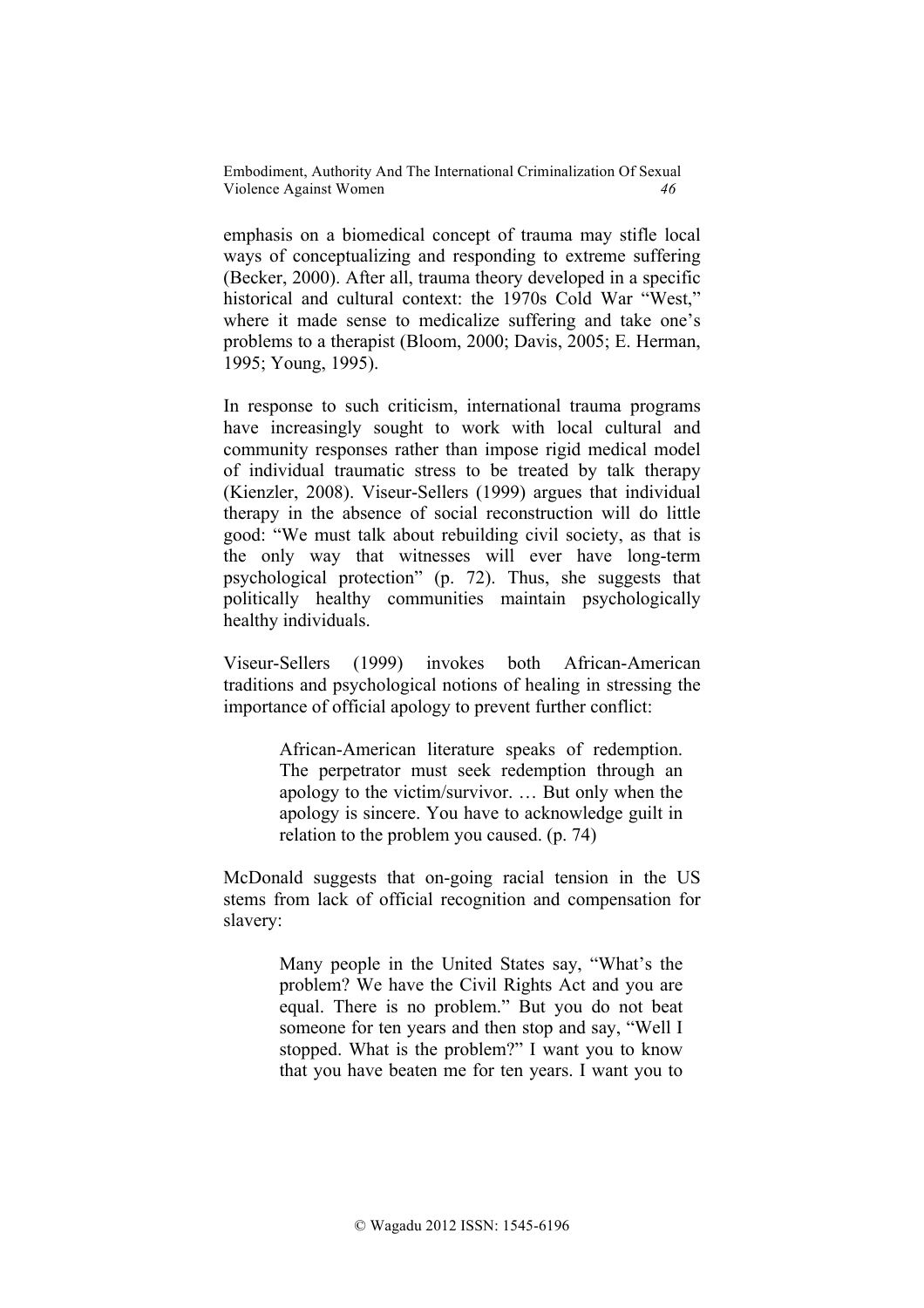emphasis on a biomedical concept of trauma may stifle local ways of conceptualizing and responding to extreme suffering (Becker, 2000). After all, trauma theory developed in a specific historical and cultural context: the 1970s Cold War "West," where it made sense to medicalize suffering and take one's problems to a therapist (Bloom, 2000; Davis, 2005; E. Herman, 1995; Young, 1995).

In response to such criticism, international trauma programs have increasingly sought to work with local cultural and community responses rather than impose rigid medical model of individual traumatic stress to be treated by talk therapy (Kienzler, 2008). Viseur-Sellers (1999) argues that individual therapy in the absence of social reconstruction will do little good: "We must talk about rebuilding civil society, as that is the only way that witnesses will ever have long-term psychological protection" (p. 72). Thus, she suggests that politically healthy communities maintain psychologically healthy individuals.

Viseur-Sellers (1999) invokes both African-American traditions and psychological notions of healing in stressing the importance of official apology to prevent further conflict:

> African-American literature speaks of redemption. The perpetrator must seek redemption through an apology to the victim/survivor. … But only when the apology is sincere. You have to acknowledge guilt in relation to the problem you caused. (p. 74)

McDonald suggests that on-going racial tension in the US stems from lack of official recognition and compensation for slavery:

> Many people in the United States say, "What's the problem? We have the Civil Rights Act and you are equal. There is no problem." But you do not beat someone for ten years and then stop and say, "Well I stopped. What is the problem?" I want you to know that you have beaten me for ten years. I want you to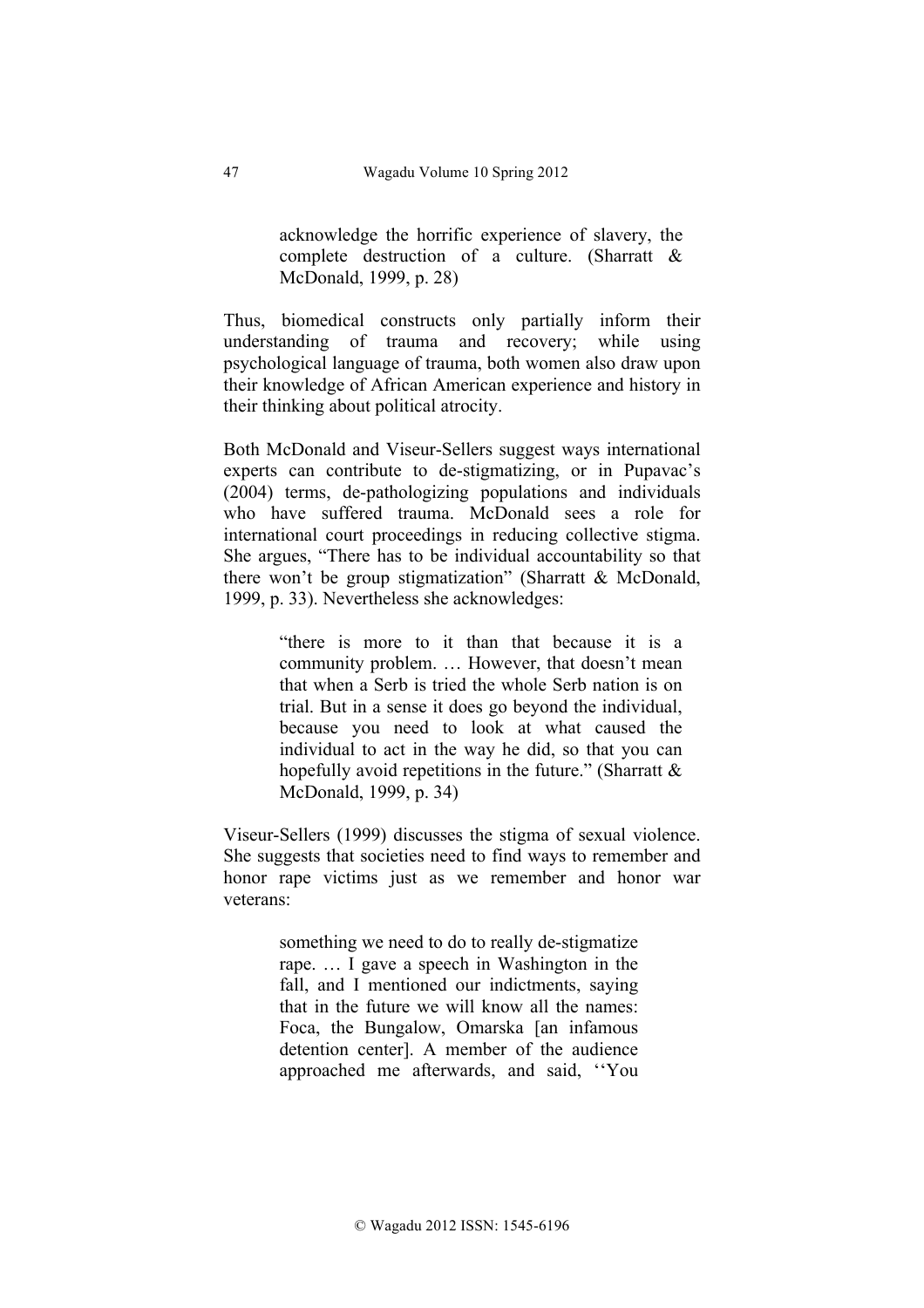acknowledge the horrific experience of slavery, the complete destruction of a culture. (Sharratt & McDonald, 1999, p. 28)

Thus, biomedical constructs only partially inform their understanding of trauma and recovery; while using psychological language of trauma, both women also draw upon their knowledge of African American experience and history in their thinking about political atrocity.

Both McDonald and Viseur-Sellers suggest ways international experts can contribute to de-stigmatizing, or in Pupavac's (2004) terms, de-pathologizing populations and individuals who have suffered trauma. McDonald sees a role for international court proceedings in reducing collective stigma. She argues, "There has to be individual accountability so that there won't be group stigmatization" (Sharratt & McDonald, 1999, p. 33). Nevertheless she acknowledges:

> "there is more to it than that because it is a community problem. … However, that doesn't mean that when a Serb is tried the whole Serb nation is on trial. But in a sense it does go beyond the individual, because you need to look at what caused the individual to act in the way he did, so that you can hopefully avoid repetitions in the future." (Sharratt & McDonald, 1999, p. 34)

Viseur-Sellers (1999) discusses the stigma of sexual violence. She suggests that societies need to find ways to remember and honor rape victims just as we remember and honor war veterans:

> something we need to do to really de-stigmatize rape. … I gave a speech in Washington in the fall, and I mentioned our indictments, saying that in the future we will know all the names: Foca, the Bungalow, Omarska [an infamous detention center]. A member of the audience approached me afterwards, and said, ''You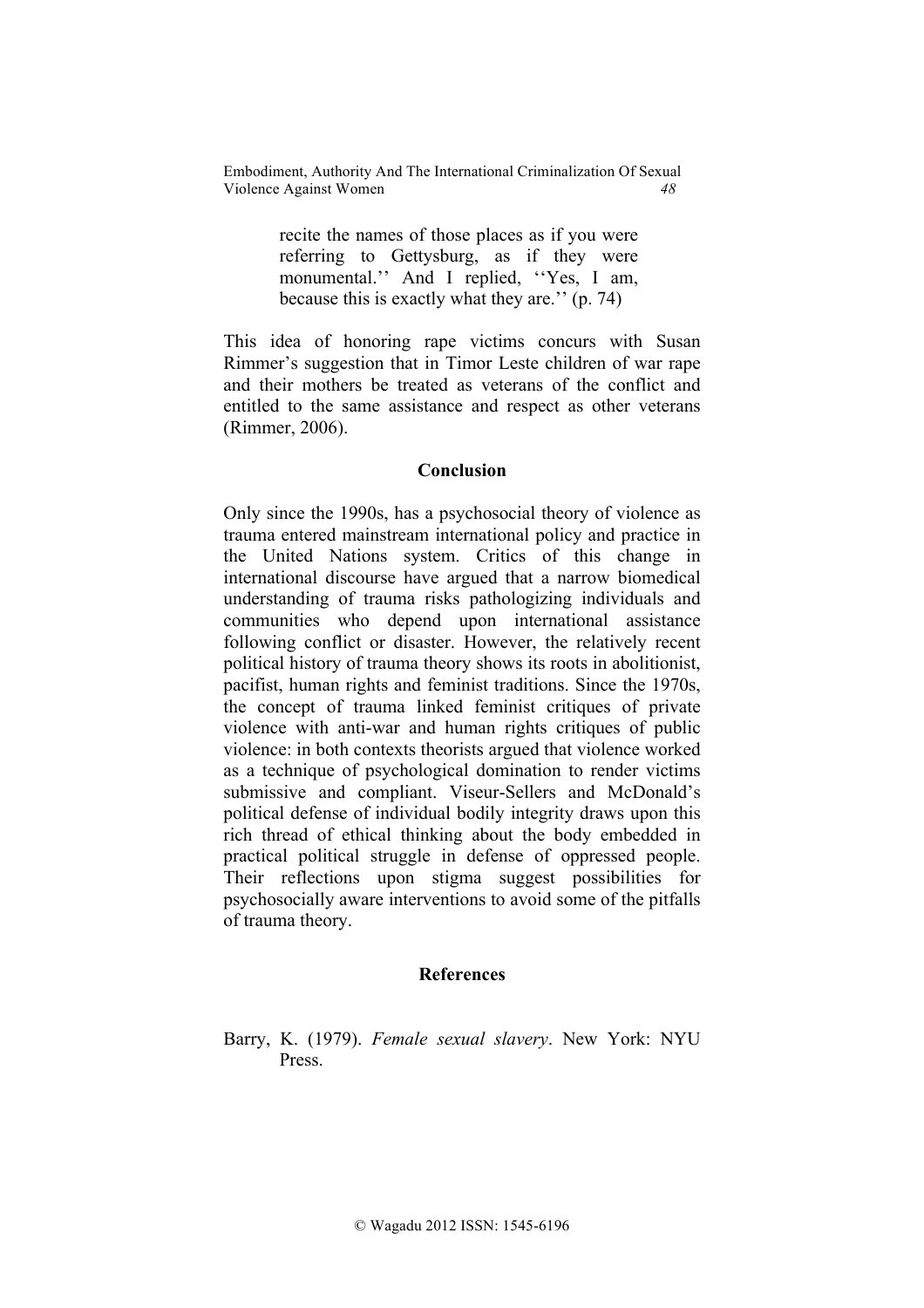> recite the names of those places as if you were referring to Gettysburg, as if they were monumental." And I replied, "Yes, I am, because this is exactly what they are.'' (p. 74)

This idea of honoring rape victims concurs with Susan Rimmer's suggestion that in Timor Leste children of war rape and their mothers be treated as veterans of the conflict and entitled to the same assistance and respect as other veterans (Rimmer, 2006).

# **Conclusion**

Only since the 1990s, has a psychosocial theory of violence as trauma entered mainstream international policy and practice in the United Nations system. Critics of this change in international discourse have argued that a narrow biomedical understanding of trauma risks pathologizing individuals and communities who depend upon international assistance following conflict or disaster. However, the relatively recent political history of trauma theory shows its roots in abolitionist, pacifist, human rights and feminist traditions. Since the 1970s, the concept of trauma linked feminist critiques of private violence with anti-war and human rights critiques of public violence: in both contexts theorists argued that violence worked as a technique of psychological domination to render victims submissive and compliant. Viseur-Sellers and McDonald's political defense of individual bodily integrity draws upon this rich thread of ethical thinking about the body embedded in practical political struggle in defense of oppressed people. Their reflections upon stigma suggest possibilities for psychosocially aware interventions to avoid some of the pitfalls of trauma theory.

#### **References**

Barry, K. (1979). *Female sexual slavery*. New York: NYU Press.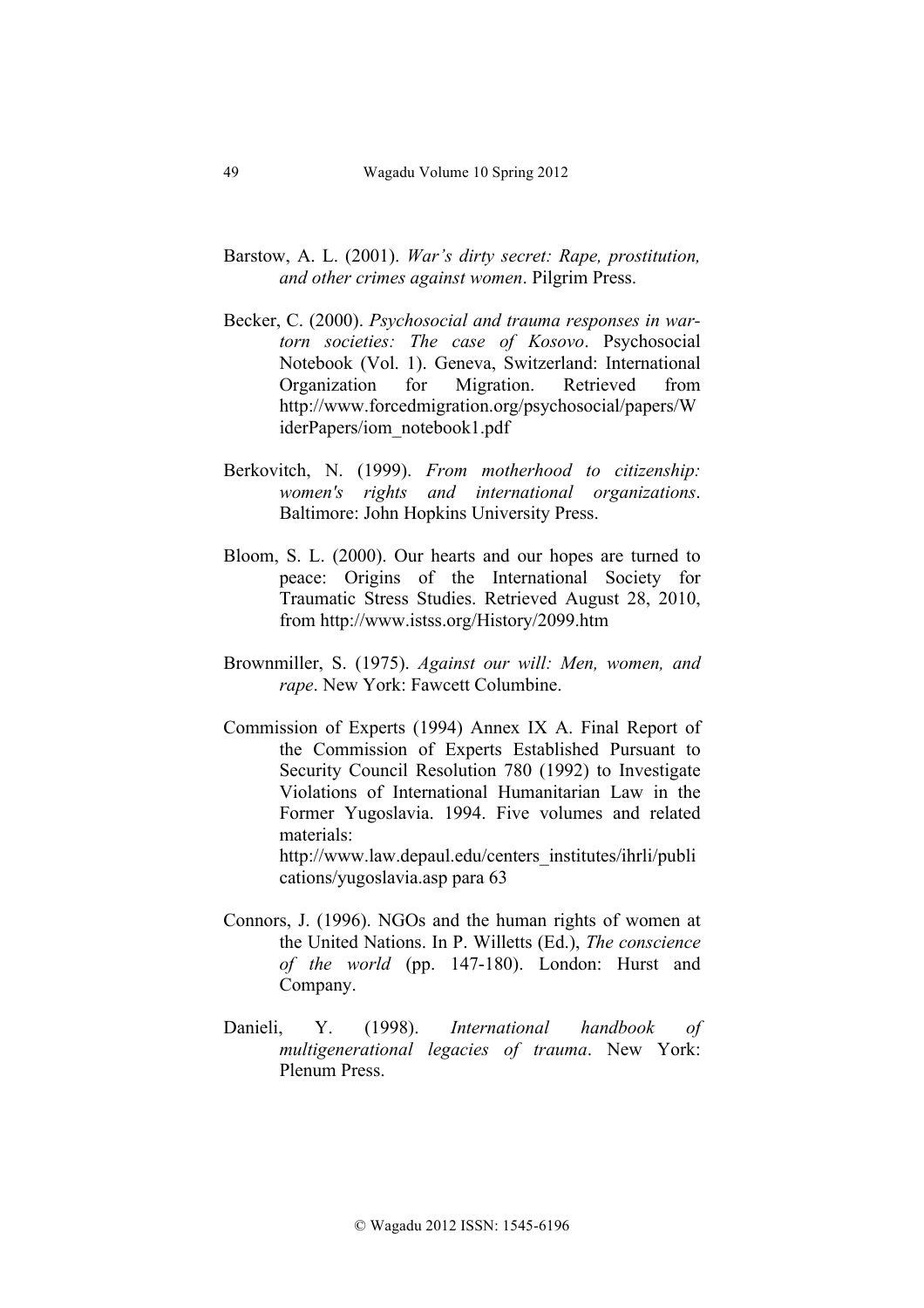- Barstow, A. L. (2001). *War's dirty secret: Rape, prostitution, and other crimes against women*. Pilgrim Press.
- Becker, C. (2000). *Psychosocial and trauma responses in wartorn societies: The case of Kosovo*. Psychosocial Notebook (Vol. 1). Geneva, Switzerland: International Organization for Migration. Retrieved from http://www.forcedmigration.org/psychosocial/papers/W iderPapers/iom\_notebook1.pdf
- Berkovitch, N. (1999). *From motherhood to citizenship: women's rights and international organizations*. Baltimore: John Hopkins University Press.
- Bloom, S. L. (2000). Our hearts and our hopes are turned to peace: Origins of the International Society for Traumatic Stress Studies. Retrieved August 28, 2010, from http://www.istss.org/History/2099.htm
- Brownmiller, S. (1975). *Against our will: Men, women, and rape*. New York: Fawcett Columbine.
- Commission of Experts (1994) Annex IX A. Final Report of the Commission of Experts Established Pursuant to Security Council Resolution 780 (1992) to Investigate Violations of International Humanitarian Law in the Former Yugoslavia. 1994. Five volumes and related materials: http://www.law.depaul.edu/centers\_institutes/ihrli/publi

cations/yugoslavia.asp para 63

- Connors, J. (1996). NGOs and the human rights of women at the United Nations. In P. Willetts (Ed.), *The conscience of the world* (pp. 147-180). London: Hurst and Company.
- Danieli, Y. (1998). *International handbook of multigenerational legacies of trauma*. New York: Plenum Press.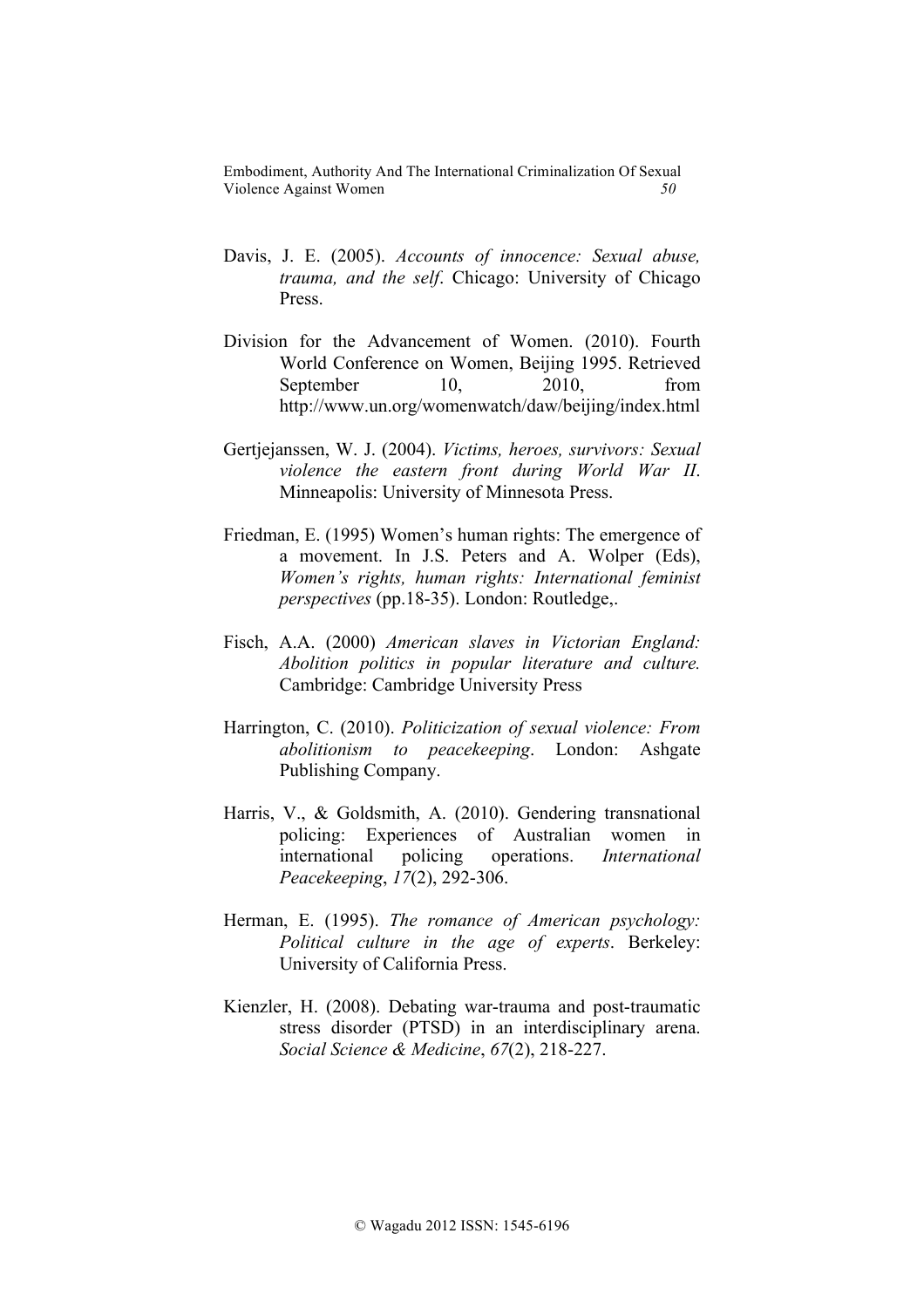- Davis, J. E. (2005). *Accounts of innocence: Sexual abuse, trauma, and the self*. Chicago: University of Chicago Press.
- Division for the Advancement of Women. (2010). Fourth World Conference on Women, Beijing 1995. Retrieved September 10, 2010, from http://www.un.org/womenwatch/daw/beijing/index.html
- Gertjejanssen, W. J. (2004). *Victims, heroes, survivors: Sexual violence the eastern front during World War II*. Minneapolis: University of Minnesota Press.
- Friedman, E. (1995) Women's human rights: The emergence of a movement. In J.S. Peters and A. Wolper (Eds), *Women's rights, human rights: International feminist perspectives* (pp.18-35). London: Routledge,.
- Fisch, A.A. (2000) *American slaves in Victorian England: Abolition politics in popular literature and culture.* Cambridge: Cambridge University Press
- Harrington, C. (2010). *Politicization of sexual violence: From abolitionism to peacekeeping*. London: Ashgate Publishing Company.
- Harris, V., & Goldsmith, A. (2010). Gendering transnational policing: Experiences of Australian women in international policing operations. *International Peacekeeping*, *17*(2), 292-306.
- Herman, E. (1995). *The romance of American psychology: Political culture in the age of experts*. Berkeley: University of California Press.
- Kienzler, H. (2008). Debating war-trauma and post-traumatic stress disorder (PTSD) in an interdisciplinary arena. *Social Science & Medicine*, *67*(2), 218-227.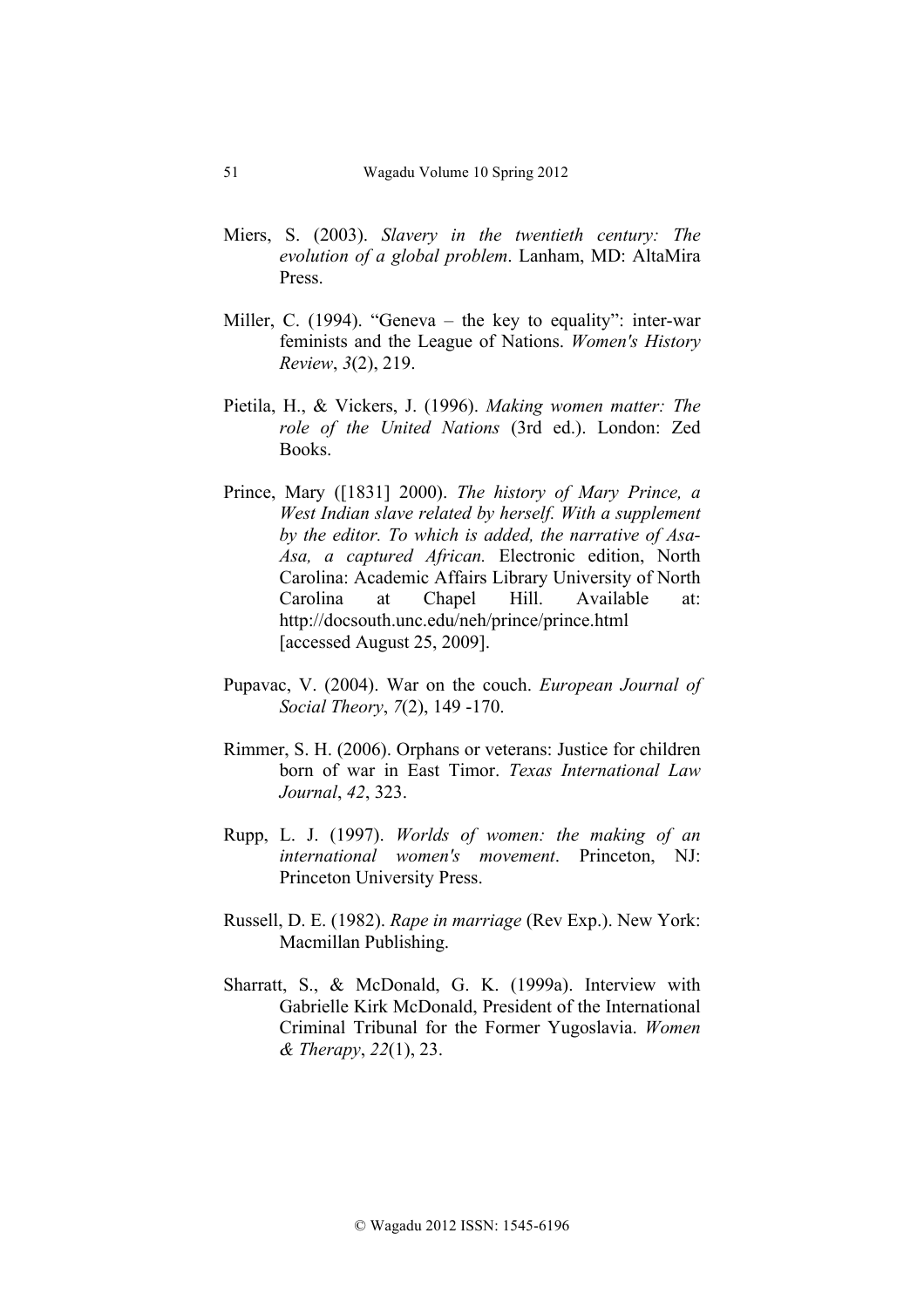- Miers, S. (2003). *Slavery in the twentieth century: The evolution of a global problem*. Lanham, MD: AltaMira Press.
- Miller, C. (1994). "Geneva the key to equality": inter-war feminists and the League of Nations. *Women's History Review*, *3*(2), 219.
- Pietila, H., & Vickers, J. (1996). *Making women matter: The role of the United Nations* (3rd ed.). London: Zed Books.
- Prince, Mary ([1831] 2000). *The history of Mary Prince, a West Indian slave related by herself. With a supplement by the editor. To which is added, the narrative of Asa-Asa, a captured African.* Electronic edition, North Carolina: Academic Affairs Library University of North Carolina at Chapel Hill. Available at: http://docsouth.unc.edu/neh/prince/prince.html [accessed August 25, 2009].
- Pupavac, V. (2004). War on the couch. *European Journal of Social Theory*, *7*(2), 149 -170.
- Rimmer, S. H. (2006). Orphans or veterans: Justice for children born of war in East Timor. *Texas International Law Journal*, *42*, 323.
- Rupp, L. J. (1997). *Worlds of women: the making of an international women's movement*. Princeton, NJ: Princeton University Press.
- Russell, D. E. (1982). *Rape in marriage* (Rev Exp.). New York: Macmillan Publishing.
- Sharratt, S., & McDonald, G. K. (1999a). Interview with Gabrielle Kirk McDonald, President of the International Criminal Tribunal for the Former Yugoslavia. *Women & Therapy*, *22*(1), 23.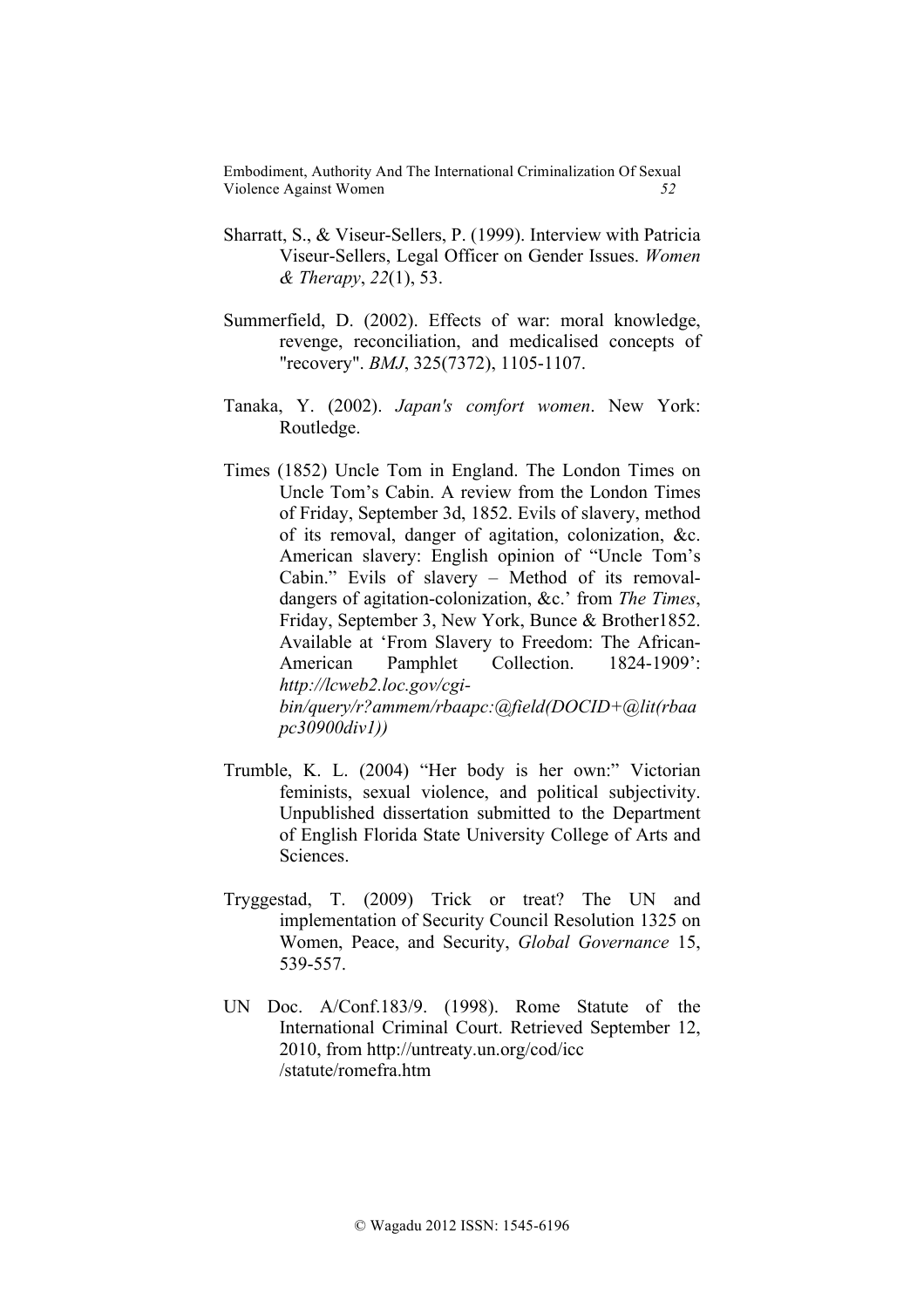- Sharratt, S., & Viseur-Sellers, P. (1999). Interview with Patricia Viseur-Sellers, Legal Officer on Gender Issues. *Women & Therapy*, *22*(1), 53.
- Summerfield, D. (2002). Effects of war: moral knowledge, revenge, reconciliation, and medicalised concepts of "recovery". *BMJ*, 325(7372), 1105-1107.
- Tanaka, Y. (2002). *Japan's comfort women*. New York: Routledge.
- Times (1852) Uncle Tom in England. The London Times on Uncle Tom's Cabin. A review from the London Times of Friday, September 3d, 1852. Evils of slavery, method of its removal, danger of agitation, colonization, &c. American slavery: English opinion of "Uncle Tom's Cabin." Evils of slavery – Method of its removaldangers of agitation-colonization, &c.' from *The Times*, Friday, September 3, New York, Bunce & Brother1852. Available at 'From Slavery to Freedom: The African-American Pamphlet Collection. 1824-1909': *http://lcweb2.loc.gov/cgibin/query/r?ammem/rbaapc:@field(DOCID+@lit(rbaa pc30900div1))*
- Trumble, K. L. (2004) "Her body is her own:" Victorian feminists, sexual violence, and political subjectivity. Unpublished dissertation submitted to the Department of English Florida State University College of Arts and **Sciences**
- Tryggestad, T. (2009) Trick or treat? The UN and implementation of Security Council Resolution 1325 on Women, Peace, and Security, *Global Governance* 15, 539-557.
- UN Doc. A/Conf.183/9. (1998). Rome Statute of the International Criminal Court. Retrieved September 12, 2010, from http://untreaty.un.org/cod/icc /statute/romefra.htm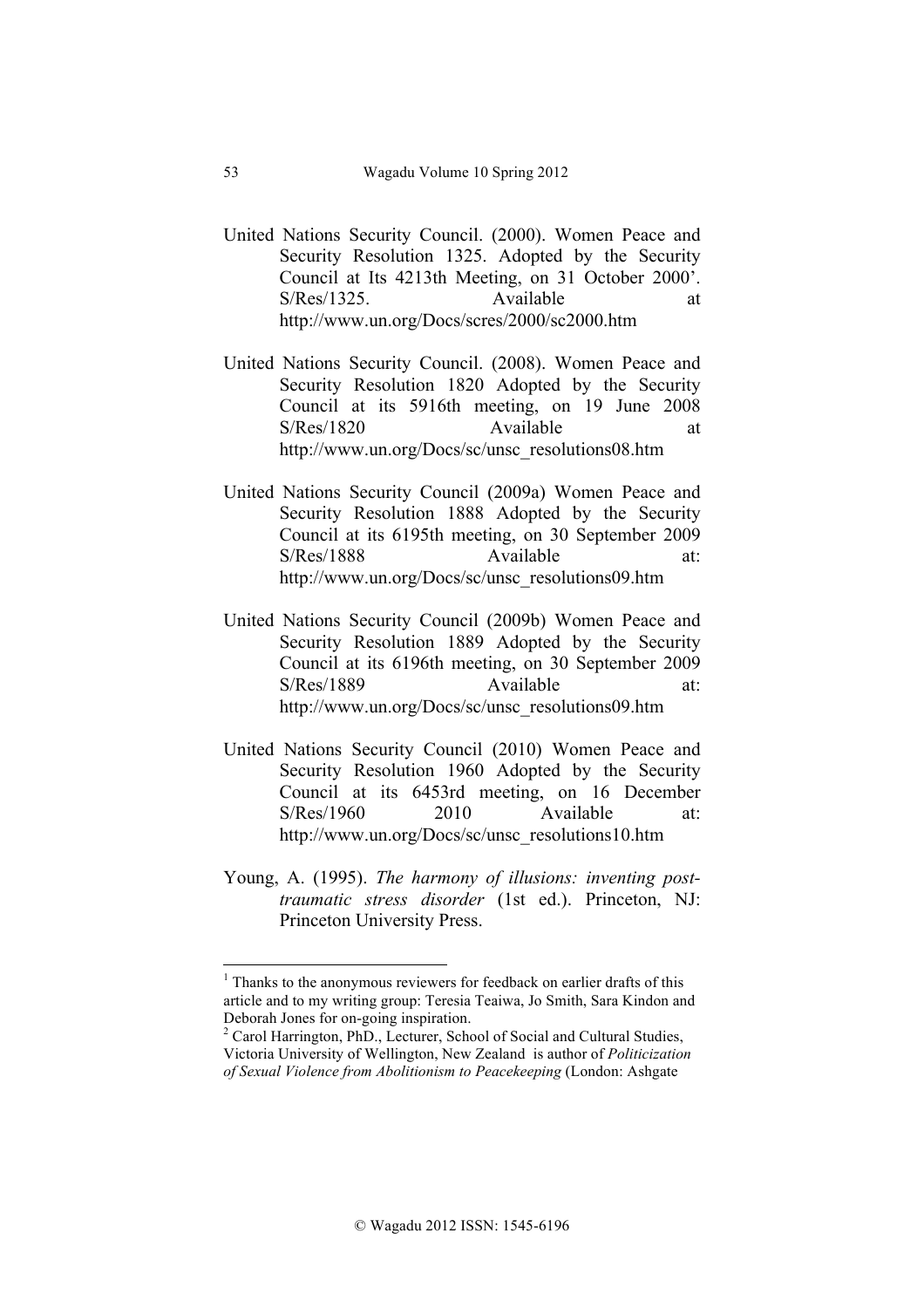- United Nations Security Council. (2000). Women Peace and Security Resolution 1325. Adopted by the Security Council at Its 4213th Meeting, on 31 October 2000'. S/Res/1325. Available at http://www.un.org/Docs/scres/2000/sc2000.htm
- United Nations Security Council. (2008). Women Peace and Security Resolution 1820 Adopted by the Security Council at its 5916th meeting, on 19 June 2008 S/Res/1820 Available at http://www.un.org/Docs/sc/unsc\_resolutions08.htm
- United Nations Security Council (2009a) Women Peace and Security Resolution 1888 Adopted by the Security Council at its 6195th meeting, on 30 September 2009 S/Res/1888 Available at: http://www.un.org/Docs/sc/unsc\_resolutions09.htm
- United Nations Security Council (2009b) Women Peace and Security Resolution 1889 Adopted by the Security Council at its 6196th meeting, on 30 September 2009 S/Res/1889 Available at: http://www.un.org/Docs/sc/unsc\_resolutions09.htm
- United Nations Security Council (2010) Women Peace and Security Resolution 1960 Adopted by the Security Council at its 6453rd meeting, on 16 December S/Res/1960 2010 Available at: http://www.un.org/Docs/sc/unsc\_resolutions10.htm
- Young, A. (1995). *The harmony of illusions: inventing posttraumatic stress disorder* (1st ed.). Princeton, NJ: Princeton University Press.

!!!!!!!!!!!!!!!!!!!!!!!!!!!!!!!!!!!!!!!!!!!!!!!!!!!!!!!!!!!!

 $<sup>1</sup>$  Thanks to the anonymous reviewers for feedback on earlier drafts of this</sup> article and to my writing group: Teresia Teaiwa, Jo Smith, Sara Kindon and Deborah Jones for on-going inspiration.<br><sup>2</sup> Carol Harrington, PhD., Lecturer, School of Social and Cultural Studies,

Victoria University of Wellington, New Zealand is author of *Politicization of Sexual Violence from Abolitionism to Peacekeeping* (London: Ashgate